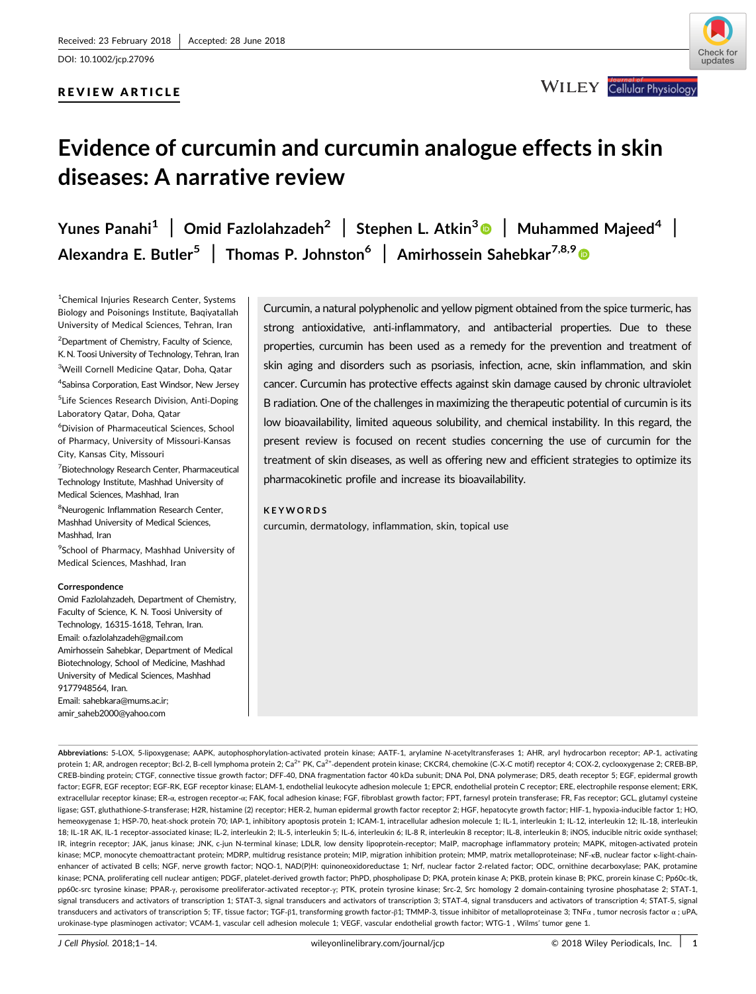DOI: 10.1002/jcp.27096

#### REVIEW ARTICLE



**WILEY** Cellular Physiology

# Evidence of curcumin and curcumin analogue effects in skin diseases: A narrative review

Yunes Panahi<sup>1</sup> | Omid Fazlolahzadeh<sup>2</sup> | Stephen L. Atkin<sup>3</sup> | Muhammed Majeed<sup>4</sup> | Alexandra E. Butler<sup>5</sup> | Thomas P. Johnston<sup>6</sup> | Amirhossein Sahebkar<sup>7,8,[9](http://orcid.org/0000-0002-8656-1444)</sup> ®

<sup>1</sup>Chemical Injuries Research Center, Systems Biology and Poisonings Institute, Baqiyatallah University of Medical Sciences, Tehran, Iran <sup>2</sup> Department of Chemistry, Faculty of Science, K. N. Toosi University of Technology, Tehran, Iran

3 Weill Cornell Medicine Qatar, Doha, Qatar 4 Sabinsa Corporation, East Windsor, New Jersey

5 Life Sciences Research Division, Anti‐Doping Laboratory Qatar, Doha, Qatar

6 Division of Pharmaceutical Sciences, School of Pharmacy, University of Missouri‐Kansas City, Kansas City, Missouri

7 Biotechnology Research Center, Pharmaceutical Technology Institute, Mashhad University of Medical Sciences, Mashhad, Iran

<sup>8</sup>Neurogenic Inflammation Research Center, Mashhad University of Medical Sciences, Mashhad, Iran

<sup>9</sup>School of Pharmacy, Mashhad University of Medical Sciences, Mashhad, Iran

#### **Correspondence**

Omid Fazlolahzadeh, Department of Chemistry, Faculty of Science, K. N. Toosi University of Technology, 16315‐1618, Tehran, Iran. Email: o.fazlolahzadeh@gmail.com Amirhossein Sahebkar, Department of Medical Biotechnology, School of Medicine, Mashhad University of Medical Sciences, Mashhad 9177948564, Iran. Email: sahebkara@mums.ac.ir;

amir\_saheb2000@yahoo.com

Curcumin, a natural polyphenolic and yellow pigment obtained from the spice turmeric, has strong antioxidative, anti‐inflammatory, and antibacterial properties. Due to these properties, curcumin has been used as a remedy for the prevention and treatment of skin aging and disorders such as psoriasis, infection, acne, skin inflammation, and skin cancer. Curcumin has protective effects against skin damage caused by chronic ultraviolet B radiation. One of the challenges in maximizing the therapeutic potential of curcumin is its low bioavailability, limited aqueous solubility, and chemical instability. In this regard, the present review is focused on recent studies concerning the use of curcumin for the treatment of skin diseases, as well as offering new and efficient strategies to optimize its pharmacokinetic profile and increase its bioavailability.

#### KEYWORDS

curcumin, dermatology, inflammation, skin, topical use

Abbreviations: 5-LOX, 5-lipoxygenase; AAPK, autophosphorylation-activated protein kinase; AATF-1, arylamine N-acetyltransferases 1; AHR, aryl hydrocarbon receptor; AP-1, activating protein 1; AR, androgen receptor; Bcl-2, B-cell lymphoma protein 2; Ca<sup>2+</sup> PK, Ca<sup>2+</sup> -dependent protein kinase; CKCR4, chemokine (C-X-C motif) receptor 4; COX-2, cyclooxygenase 2; CREB-BP, CREB‐binding protein; CTGF, connective tissue growth factor; DFF‐40, DNA fragmentation factor 40 kDa subunit; DNA Pol, DNA polymerase; DR5, death receptor 5; EGF, epidermal growth factor; EGFR, EGF receptor; EGF‐RK, EGF receptor kinase; ELAM‐1, endothelial leukocyte adhesion molecule 1; EPCR, endothelial protein C receptor; ERE, electrophile response element; ERK, extracellular receptor kinase; ER-α, estrogen receptor-α; FAK, focal adhesion kinase; FGF, fibroblast growth factor; FPT, farnesyl protein transferase; FR, Fas receptor; GCL, glutamyl cysteine ligase; GST, gluthathione‐S‐transferase; H2R, histamine (2) receptor; HER‐2, human epidermal growth factor receptor 2; HGF, hepatocyte growth factor; HIF‐1, hypoxia‐inducible factor 1; HO, hemeoxygenase 1; HSP-70, heat-shock protein 70; IAP-1, inhibitory apoptosis protein 1; ICAM-1, intracellular adhesion molecule 1; IL-1, interleukin 1; IL-12, interleukin 12; IL-18, interleukin 12; IL-18, interleukin 18; IL‐1R AK, IL‐1 receptor‐associated kinase; IL‐2, interleukin 2; IL‐5, interleukin 5; IL‐6, interleukin 6; IL‐8 R, interleukin 8 receptor; IL‐8, interleukin 8; iNOS, inducible nitric oxide synthasel; IR, integrin receptor; JAK, janus kinase; JNK, c‐jun N‐terminal kinase; LDLR, low density lipoprotein‐receptor; MaIP, macrophage inflammatory protein; MAPK, mitogen‐activated protein kinase; MCP, monocyte chemoattractant protein; MDRP, multidrug resistance protein; MIP, migration inhibition protein; MMP, matrix metalloproteinase; NF-kB, nuclear factor κ-light-chainenhancer of activated B cells; NGF, nerve growth factor; NQO-1, NAD(P)H: quinoneoxidoreductase 1; Nrf, nuclear factor 2-related factor; ODC, ornithine decarboxylase; PAK, protamine kinase; PCNA, proliferating cell nuclear antigen; PDGF, platelet-derived growth factor; PhPD, phospholipase D; PKA, protein kinase A; PKB, protein kinase B; PKC, prorein kinase C; Pp60c-tk, pp60c-src tyrosine kinase; PPAR-γ, peroxisome preoliferator-activated receptor-γ; PTK, protein tyrosine kinase; Src-2, Src homology 2 domain-containing tyrosine phosphatase 2; STAT-1, signal transducers and activators of transcription 1; STAT-3, signal transducers and activators of transcription 3; STAT-4, signal transducers and activators of transcription 4; STAT-5, signal transducers and activators of transcription 5; TF, tissue factor; TGF-β1, transforming growth factor-β1; TMMP-3, tissue inhibitor of metalloproteinase 3; TNFα, tumor necrosis factor α; uPA, urokinase‐type plasminogen activator; VCAM‐1, vascular cell adhesion molecule 1; VEGF, vascular endothelial growth factor; WTG‐1 , Wilms' tumor gene 1.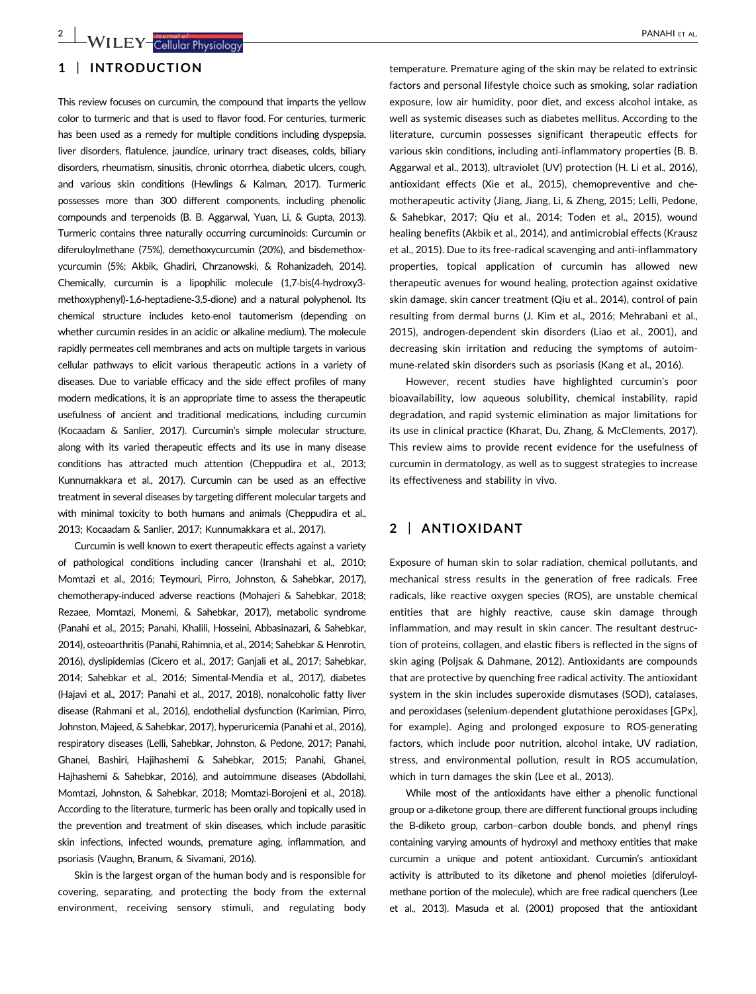# 1 | INTRODUCTION

This review focuses on curcumin, the compound that imparts the yellow color to turmeric and that is used to flavor food. For centuries, turmeric has been used as a remedy for multiple conditions including dyspepsia, liver disorders, flatulence, jaundice, urinary tract diseases, colds, biliary disorders, rheumatism, sinusitis, chronic otorrhea, diabetic ulcers, cough, and various skin conditions (Hewlings & Kalman, 2017). Turmeric possesses more than 300 different components, including phenolic compounds and terpenoids (B. B. Aggarwal, Yuan, Li, & Gupta, 2013). Turmeric contains three naturally occurring curcuminoids: Curcumin or diferuloylmethane (75%), demethoxycurcumin (20%), and bisdemethoxycurcumin (5%; Akbik, Ghadiri, Chrzanowski, & Rohanizadeh, 2014). Chemically, curcumin is a lipophilic molecule (1,7‐bis(4‐hydroxy3‐ methoxyphenyl)‐1,6‐heptadiene‐3,5‐dione) and a natural polyphenol. Its chemical structure includes keto‐enol tautomerism (depending on whether curcumin resides in an acidic or alkaline medium). The molecule rapidly permeates cell membranes and acts on multiple targets in various cellular pathways to elicit various therapeutic actions in a variety of diseases. Due to variable efficacy and the side effect profiles of many modern medications, it is an appropriate time to assess the therapeutic usefulness of ancient and traditional medications, including curcumin (Kocaadam & Sanlier, 2017). Curcumin's simple molecular structure, along with its varied therapeutic effects and its use in many disease conditions has attracted much attention (Cheppudira et al., 2013; Kunnumakkara et al., 2017). Curcumin can be used as an effective treatment in several diseases by targeting different molecular targets and with minimal toxicity to both humans and animals (Cheppudira et al., 2013; Kocaadam & Sanlier, 2017; Kunnumakkara et al., 2017).

Curcumin is well known to exert therapeutic effects against a variety of pathological conditions including cancer (Iranshahi et al., 2010; Momtazi et al., 2016; Teymouri, Pirro, Johnston, & Sahebkar, 2017), chemotherapy‐induced adverse reactions (Mohajeri & Sahebkar, 2018; Rezaee, Momtazi, Monemi, & Sahebkar, 2017), metabolic syndrome (Panahi et al., 2015; Panahi, Khalili, Hosseini, Abbasinazari, & Sahebkar, 2014), osteoarthritis (Panahi, Rahimnia, et al., 2014; Sahebkar & Henrotin, 2016), dyslipidemias (Cicero et al., 2017; Ganjali et al., 2017; Sahebkar, 2014; Sahebkar et al., 2016; Simental‐Mendia et al., 2017), diabetes (Hajavi et al., 2017; Panahi et al., 2017, 2018), nonalcoholic fatty liver disease (Rahmani et al., 2016), endothelial dysfunction (Karimian, Pirro, Johnston, Majeed, & Sahebkar, 2017), hyperuricemia (Panahi et al., 2016), respiratory diseases (Lelli, Sahebkar, Johnston, & Pedone, 2017; Panahi, Ghanei, Bashiri, Hajihashemi & Sahebkar, 2015; Panahi, Ghanei, Hajhashemi & Sahebkar, 2016), and autoimmune diseases (Abdollahi, Momtazi, Johnston, & Sahebkar, 2018; Momtazi‐Borojeni et al., 2018). According to the literature, turmeric has been orally and topically used in the prevention and treatment of skin diseases, which include parasitic skin infections, infected wounds, premature aging, inflammation, and psoriasis (Vaughn, Branum, & Sivamani, 2016).

Skin is the largest organ of the human body and is responsible for covering, separating, and protecting the body from the external environment, receiving sensory stimuli, and regulating body

temperature. Premature aging of the skin may be related to extrinsic factors and personal lifestyle choice such as smoking, solar radiation exposure, low air humidity, poor diet, and excess alcohol intake, as well as systemic diseases such as diabetes mellitus. According to the literature, curcumin possesses significant therapeutic effects for various skin conditions, including anti-inflammatory properties (B. B. Aggarwal et al., 2013), ultraviolet (UV) protection (H. Li et al., 2016), antioxidant effects (Xie et al., 2015), chemopreventive and chemotherapeutic activity (Jiang, Jiang, Li, & Zheng, 2015; Lelli, Pedone, & Sahebkar, 2017; Qiu et al., 2014; Toden et al., 2015), wound healing benefits (Akbik et al., 2014), and antimicrobial effects (Krausz et al., 2015). Due to its free‐radical scavenging and anti‐inflammatory properties, topical application of curcumin has allowed new therapeutic avenues for wound healing, protection against oxidative skin damage, skin cancer treatment (Qiu et al., 2014), control of pain resulting from dermal burns (J. Kim et al., 2016; Mehrabani et al., 2015), androgen‐dependent skin disorders (Liao et al., 2001), and decreasing skin irritation and reducing the symptoms of autoimmune‐related skin disorders such as psoriasis (Kang et al., 2016).

However, recent studies have highlighted curcumin's poor bioavailability, low aqueous solubility, chemical instability, rapid degradation, and rapid systemic elimination as major limitations for its use in clinical practice (Kharat, Du, Zhang, & McClements, 2017). This review aims to provide recent evidence for the usefulness of curcumin in dermatology, as well as to suggest strategies to increase its effectiveness and stability in vivo.

### 2 | ANTIOXIDANT

Exposure of human skin to solar radiation, chemical pollutants, and mechanical stress results in the generation of free radicals. Free radicals, like reactive oxygen species (ROS), are unstable chemical entities that are highly reactive, cause skin damage through inflammation, and may result in skin cancer. The resultant destruction of proteins, collagen, and elastic fibers is reflected in the signs of skin aging (Poljsak & Dahmane, 2012). Antioxidants are compounds that are protective by quenching free radical activity. The antioxidant system in the skin includes superoxide dismutases (SOD), catalases, and peroxidases (selenium‐dependent glutathione peroxidases [GPx], for example). Aging and prolonged exposure to ROS‐generating factors, which include poor nutrition, alcohol intake, UV radiation, stress, and environmental pollution, result in ROS accumulation, which in turn damages the skin (Lee et al., 2013).

While most of the antioxidants have either a phenolic functional group or a‐diketone group, there are different functional groups including the B-diketo group, carbon-carbon double bonds, and phenyl rings containing varying amounts of hydroxyl and methoxy entities that make curcumin a unique and potent antioxidant. Curcumin's antioxidant activity is attributed to its diketone and phenol moieties (diferuloyl‐ methane portion of the molecule), which are free radical quenchers (Lee et al., 2013). Masuda et al. (2001) proposed that the antioxidant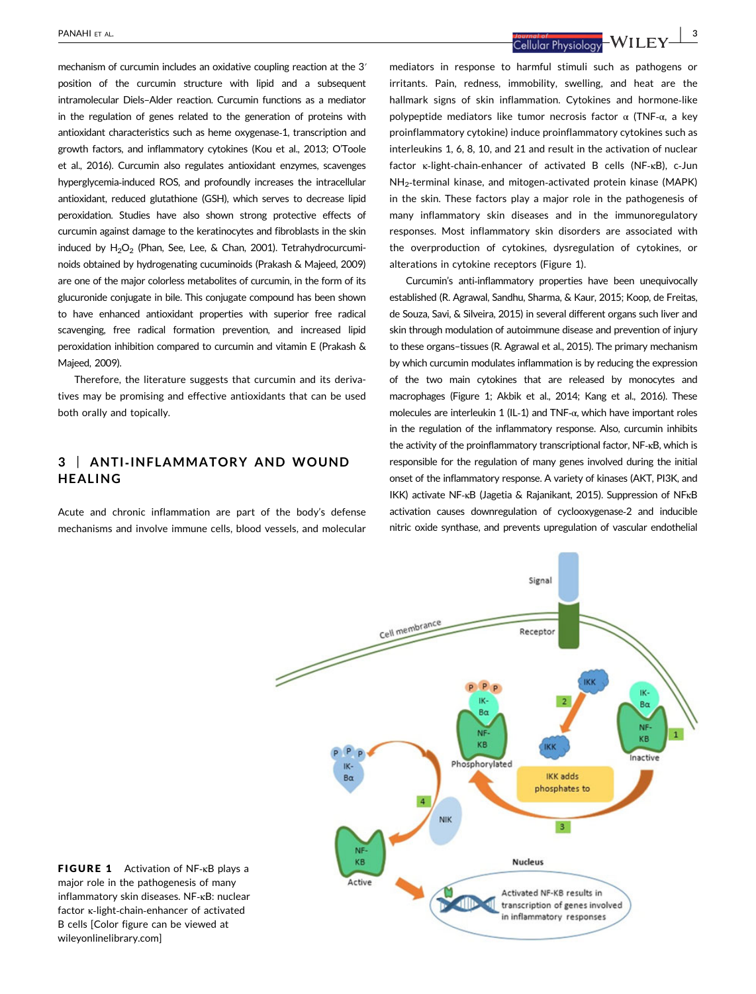mechanism of curcumin includes an oxidative coupling reaction at the 3ʹ position of the curcumin structure with lipid and a subsequent intramolecular Diels–Alder reaction. Curcumin functions as a mediator in the regulation of genes related to the generation of proteins with antioxidant characteristics such as heme oxygenase‐1, transcription and growth factors, and inflammatory cytokines (Kou et al., 2013; O'Toole et al., 2016). Curcumin also regulates antioxidant enzymes, scavenges hyperglycemia‐induced ROS, and profoundly increases the intracellular antioxidant, reduced glutathione (GSH), which serves to decrease lipid peroxidation. Studies have also shown strong protective effects of curcumin against damage to the keratinocytes and fibroblasts in the skin induced by  $H_2O_2$  (Phan, See, Lee, & Chan, 2001). Tetrahydrocurcuminoids obtained by hydrogenating cucuminoids (Prakash & Majeed, 2009) are one of the major colorless metabolites of curcumin, in the form of its glucuronide conjugate in bile. This conjugate compound has been shown to have enhanced antioxidant properties with superior free radical scavenging, free radical formation prevention, and increased lipid peroxidation inhibition compared to curcumin and vitamin E (Prakash & Majeed, 2009).

Therefore, the literature suggests that curcumin and its derivatives may be promising and effective antioxidants that can be used both orally and topically.

# 3 | ANTI‐INFLAMMATORY AND WOUND HEALING

Acute and chronic inflammation are part of the body's defense mechanisms and involve immune cells, blood vessels, and molecular

PANAHI ET AL. | 3

mediators in response to harmful stimuli such as pathogens or irritants. Pain, redness, immobility, swelling, and heat are the hallmark signs of skin inflammation. Cytokines and hormone‐like polypeptide mediators like tumor necrosis factor  $\alpha$  (TNF- $\alpha$ , a key proinflammatory cytokine) induce proinflammatory cytokines such as interleukins 1, 6, 8, 10, and 21 and result in the activation of nuclear factor κ‐light‐chain‐enhancer of activated B cells (NF‐κB), c‐Jun NH2‐terminal kinase, and mitogen‐activated protein kinase (MAPK) in the skin. These factors play a major role in the pathogenesis of many inflammatory skin diseases and in the immunoregulatory responses. Most inflammatory skin disorders are associated with the overproduction of cytokines, dysregulation of cytokines, or alterations in cytokine receptors (Figure 1).

Curcumin's anti‐inflammatory properties have been unequivocally established (R. Agrawal, Sandhu, Sharma, & Kaur, 2015; Koop, de Freitas, de Souza, Savi, & Silveira, 2015) in several different organs such liver and skin through modulation of autoimmune disease and prevention of injury to these organs–tissues (R. Agrawal et al., 2015). The primary mechanism by which curcumin modulates inflammation is by reducing the expression of the two main cytokines that are released by monocytes and macrophages (Figure 1; Akbik et al., 2014; Kang et al., 2016). These molecules are interleukin 1 (IL‐1) and TNF‐α, which have important roles in the regulation of the inflammatory response. Also, curcumin inhibits the activity of the proinflammatory transcriptional factor, NF‐κB, which is responsible for the regulation of many genes involved during the initial onset of the inflammatory response. A variety of kinases (AKT, PI3K, and IKK) activate NF‐κB (Jagetia & Rajanikant, 2015). Suppression of NFκB activation causes downregulation of cyclooxygenase‐2 and inducible nitric oxide synthase, and prevents upregulation of vascular endothelial



FIGURE 1 Activation of NF‐κB plays a major role in the pathogenesis of many inflammatory skin diseases. NF‐κB: nuclear factor κ‐light‐chain‐enhancer of activated B cells [Color figure can be viewed at wileyonlinelibrary.com]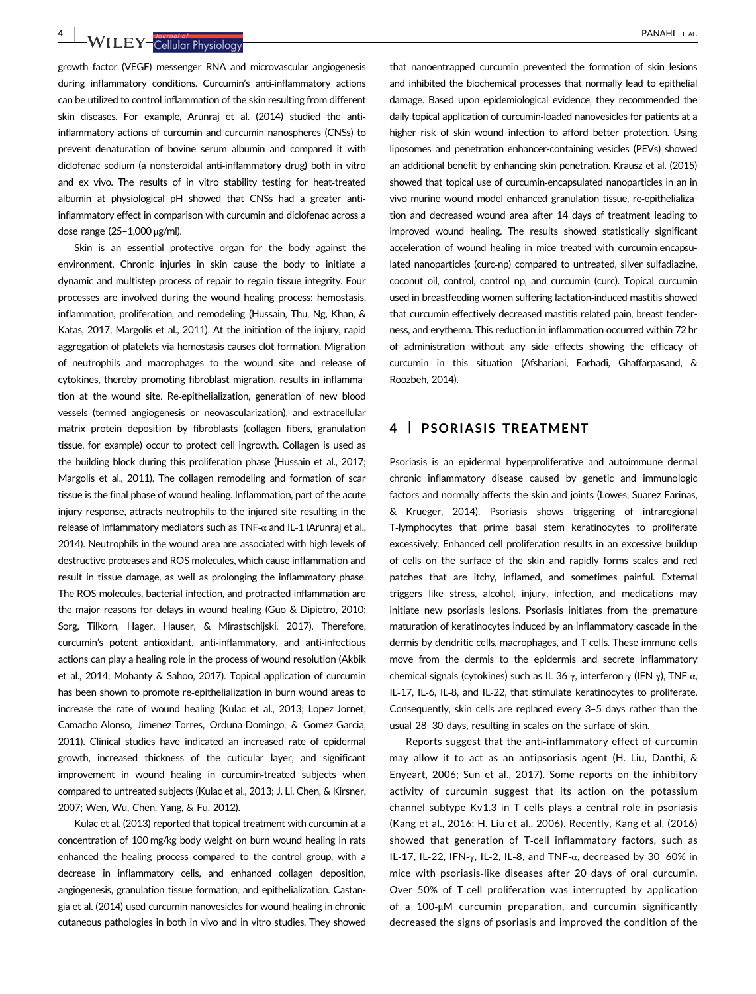4 | WILEY-Callular Physiology | PANAHI ET AL.

growth factor (VEGF) messenger RNA and microvascular angiogenesis during inflammatory conditions. Curcumin's anti-inflammatory actions can be utilized to control inflammation of the skin resulting from different skin diseases. For example, Arunraj et al. (2014) studied the anti‐ inflammatory actions of curcumin and curcumin nanospheres (CNSs) to prevent denaturation of bovine serum albumin and compared it with diclofenac sodium (a nonsteroidal anti‐inflammatory drug) both in vitro and ex vivo. The results of in vitro stability testing for heat-treated albumin at physiological pH showed that CNSs had a greater anti‐ inflammatory effect in comparison with curcumin and diclofenac across a dose range (25–1,000 μg/ml).

Skin is an essential protective organ for the body against the environment. Chronic injuries in skin cause the body to initiate a dynamic and multistep process of repair to regain tissue integrity. Four processes are involved during the wound healing process: hemostasis, inflammation, proliferation, and remodeling (Hussain, Thu, Ng, Khan, & Katas, 2017; Margolis et al., 2011). At the initiation of the injury, rapid aggregation of platelets via hemostasis causes clot formation. Migration of neutrophils and macrophages to the wound site and release of cytokines, thereby promoting fibroblast migration, results in inflammation at the wound site. Re‐epithelialization, generation of new blood vessels (termed angiogenesis or neovascularization), and extracellular matrix protein deposition by fibroblasts (collagen fibers, granulation tissue, for example) occur to protect cell ingrowth. Collagen is used as the building block during this proliferation phase (Hussain et al., 2017; Margolis et al., 2011). The collagen remodeling and formation of scar tissue is the final phase of wound healing. Inflammation, part of the acute injury response, attracts neutrophils to the injured site resulting in the release of inflammatory mediators such as TNF‐α and IL‐1 (Arunraj et al., 2014). Neutrophils in the wound area are associated with high levels of destructive proteases and ROS molecules, which cause inflammation and result in tissue damage, as well as prolonging the inflammatory phase. The ROS molecules, bacterial infection, and protracted inflammation are the major reasons for delays in wound healing (Guo & Dipietro, 2010; Sorg, Tilkorn, Hager, Hauser, & Mirastschijski, 2017). Therefore, curcumin's potent antioxidant, anti‐inflammatory, and anti‐infectious actions can play a healing role in the process of wound resolution (Akbik et al., 2014; Mohanty & Sahoo, 2017). Topical application of curcumin has been shown to promote re‐epithelialization in burn wound areas to increase the rate of wound healing (Kulac et al., 2013; Lopez‐Jornet, Camacho‐Alonso, Jimenez‐Torres, Orduna‐Domingo, & Gomez‐Garcia, 2011). Clinical studies have indicated an increased rate of epidermal growth, increased thickness of the cuticular layer, and significant improvement in wound healing in curcumin-treated subjects when compared to untreated subjects (Kulac et al., 2013; J. Li, Chen, & Kirsner, 2007; Wen, Wu, Chen, Yang, & Fu, 2012).

Kulac et al. (2013) reported that topical treatment with curcumin at a concentration of 100 mg/kg body weight on burn wound healing in rats enhanced the healing process compared to the control group, with a decrease in inflammatory cells, and enhanced collagen deposition, angiogenesis, granulation tissue formation, and epithelialization. Castangia et al. (2014) used curcumin nanovesicles for wound healing in chronic cutaneous pathologies in both in vivo and in vitro studies. They showed

that nanoentrapped curcumin prevented the formation of skin lesions and inhibited the biochemical processes that normally lead to epithelial damage. Based upon epidemiological evidence, they recommended the daily topical application of curcumin‐loaded nanovesicles for patients at a higher risk of skin wound infection to afford better protection. Using liposomes and penetration enhancer-containing vesicles (PEVs) showed an additional benefit by enhancing skin penetration. Krausz et al. (2015) showed that topical use of curcumin‐encapsulated nanoparticles in an in vivo murine wound model enhanced granulation tissue, re‐epithelialization and decreased wound area after 14 days of treatment leading to improved wound healing. The results showed statistically significant acceleration of wound healing in mice treated with curcumin‐encapsulated nanoparticles (curc‐np) compared to untreated, silver sulfadiazine, coconut oil, control, control np, and curcumin (curc). Topical curcumin used in breastfeeding women suffering lactation‐induced mastitis showed that curcumin effectively decreased mastitis‐related pain, breast tenderness, and erythema. This reduction in inflammation occurred within 72 hr of administration without any side effects showing the efficacy of curcumin in this situation (Afshariani, Farhadi, Ghaffarpasand, & Roozbeh, 2014).

# 4 | PSORIASIS TREATMENT

Psoriasis is an epidermal hyperproliferative and autoimmune dermal chronic inflammatory disease caused by genetic and immunologic factors and normally affects the skin and joints (Lowes, Suarez‐Farinas, & Krueger, 2014). Psoriasis shows triggering of intraregional T‐lymphocytes that prime basal stem keratinocytes to proliferate excessively. Enhanced cell proliferation results in an excessive buildup of cells on the surface of the skin and rapidly forms scales and red patches that are itchy, inflamed, and sometimes painful. External triggers like stress, alcohol, injury, infection, and medications may initiate new psoriasis lesions. Psoriasis initiates from the premature maturation of keratinocytes induced by an inflammatory cascade in the dermis by dendritic cells, macrophages, and T cells. These immune cells move from the dermis to the epidermis and secrete inflammatory chemical signals (cytokines) such as IL 36‐γ, interferon‐γ (IFN‐γ), TNF‐α, IL‐17, IL‐6, IL‐8, and IL‐22, that stimulate keratinocytes to proliferate. Consequently, skin cells are replaced every 3–5 days rather than the usual 28–30 days, resulting in scales on the surface of skin.

Reports suggest that the anti‐inflammatory effect of curcumin may allow it to act as an antipsoriasis agent (H. Liu, Danthi, & Enyeart, 2006; Sun et al., 2017). Some reports on the inhibitory activity of curcumin suggest that its action on the potassium channel subtype Kv1.3 in T cells plays a central role in psoriasis (Kang et al., 2016; H. Liu et al., 2006). Recently, Kang et al. (2016) showed that generation of T‐cell inflammatory factors, such as IL-17, IL-22, IFN- $\gamma$ , IL-2, IL-8, and TNF- $\alpha$ , decreased by 30-60% in mice with psoriasis‐like diseases after 20 days of oral curcumin. Over 50% of T-cell proliferation was interrupted by application of a 100‐μM curcumin preparation, and curcumin significantly decreased the signs of psoriasis and improved the condition of the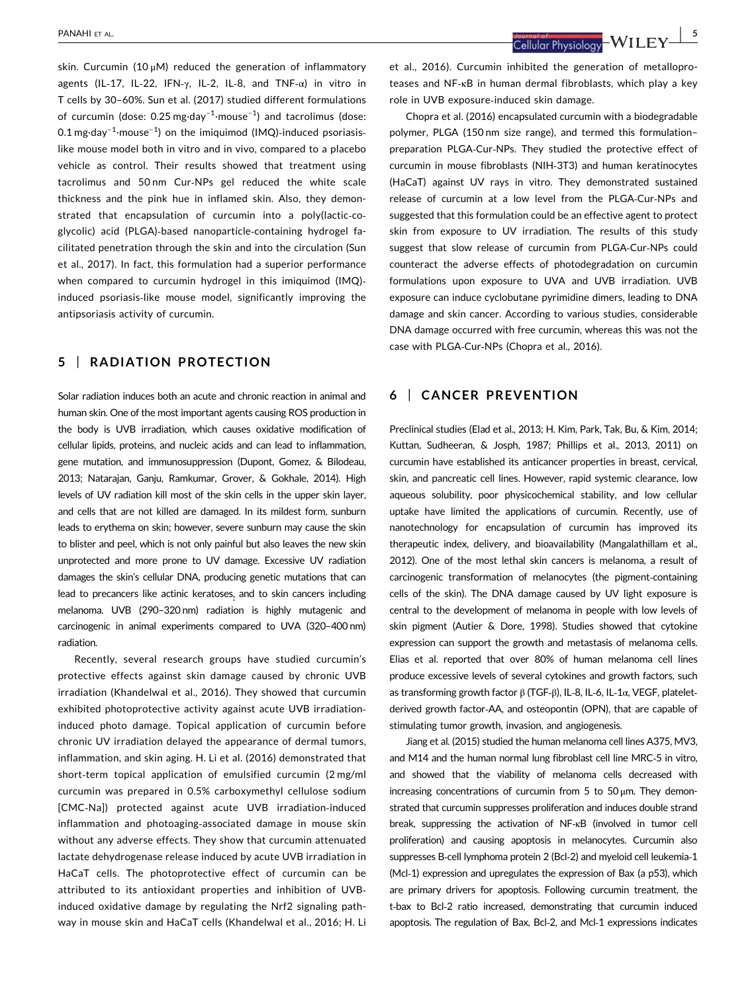skin. Curcumin (10  $\mu$ M) reduced the generation of inflammatory agents (IL‐17, IL‐22, IFN‐γ, IL‐2, IL‐8, and TNF‐α) in vitro in T cells by 30–60%. Sun et al. (2017) studied different formulations of curcumin (dose: 0.25 mg·day<sup>-1</sup>·mouse<sup>-1</sup>) and tacrolimus (dose:  $0.1\,\mathrm{mg}\cdot\mathrm{day}^{-1}\cdot\mathrm{mouse}^{-1}$ ) on the imiquimod (IMQ)-induced psoriasislike mouse model both in vitro and in vivo, compared to a placebo vehicle as control. Their results showed that treatment using tacrolimus and 50 nm Cur‐NPs gel reduced the white scale thickness and the pink hue in inflamed skin. Also, they demonstrated that encapsulation of curcumin into a poly(lactic-coglycolic) acid (PLGA)‐based nanoparticle‐containing hydrogel facilitated penetration through the skin and into the circulation (Sun et al., 2017). In fact, this formulation had a superior performance when compared to curcumin hydrogel in this imiquimod (IMQ)induced psoriasis‐like mouse model, significantly improving the antipsoriasis activity of curcumin.

## 5 | RADIATION PROTECTION

Solar radiation induces both an acute and chronic reaction in animal and human skin. One of the most important agents causing ROS production in the body is UVB irradiation, which causes oxidative modification of cellular lipids, proteins, and nucleic acids and can lead to inflammation, gene mutation, and immunosuppression (Dupont, Gomez, & Bilodeau, 2013; Natarajan, Ganju, Ramkumar, Grover, & Gokhale, 2014). High levels of UV radiation kill most of the skin cells in the upper skin layer, and cells that are not killed are damaged. In its mildest form, sunburn leads to erythema on skin; however, severe sunburn may cause the skin to blister and peel, which is not only painful but also leaves the new skin unprotected and more prone to UV damage. Excessive UV radiation damages the skin's cellular DNA, producing genetic mutations that can lead to precancers like actinic keratoses, and to skin cancers including melanoma. UVB (290–320 nm) radiation is highly mutagenic and carcinogenic in animal experiments compared to UVA (320–400 nm) radiation.

Recently, several research groups have studied curcumin's protective effects against skin damage caused by chronic UVB irradiation (Khandelwal et al., 2016). They showed that curcumin exhibited photoprotective activity against acute UVB irradiationinduced photo damage. Topical application of curcumin before chronic UV irradiation delayed the appearance of dermal tumors, inflammation, and skin aging. H. Li et al. (2016) demonstrated that short-term topical application of emulsified curcumin (2 mg/ml curcumin was prepared in 0.5% carboxymethyl cellulose sodium [CMC‐Na]) protected against acute UVB irradiation‐induced inflammation and photoaging‐associated damage in mouse skin without any adverse effects. They show that curcumin attenuated lactate dehydrogenase release induced by acute UVB irradiation in HaCaT cells. The photoprotective effect of curcumin can be attributed to its antioxidant properties and inhibition of UVB‐ induced oxidative damage by regulating the Nrf2 signaling pathway in mouse skin and HaCaT cells (Khandelwal et al., 2016; H. Li

PANAHI ET AL. | 5

et al., 2016). Curcumin inhibited the generation of metalloproteases and NF‐κB in human dermal fibroblasts, which play a key role in UVB exposure‐induced skin damage.

Chopra et al. (2016) encapsulated curcumin with a biodegradable polymer, PLGA (150 nm size range), and termed this formulation– preparation PLGA-Cur-NPs. They studied the protective effect of curcumin in mouse fibroblasts (NIH‐3T3) and human keratinocytes (HaCaT) against UV rays in vitro. They demonstrated sustained release of curcumin at a low level from the PLGA‐Cur‐NPs and suggested that this formulation could be an effective agent to protect skin from exposure to UV irradiation. The results of this study suggest that slow release of curcumin from PLGA‐Cur‐NPs could counteract the adverse effects of photodegradation on curcumin formulations upon exposure to UVA and UVB irradiation. UVB exposure can induce cyclobutane pyrimidine dimers, leading to DNA damage and skin cancer. According to various studies, considerable DNA damage occurred with free curcumin, whereas this was not the case with PLGA‐Cur‐NPs (Chopra et al., 2016).

# 6 | CANCER PREVENTION

Preclinical studies (Elad et al., 2013; H. Kim, Park, Tak, Bu, & Kim, 2014; Kuttan, Sudheeran, & Josph, 1987; Phillips et al., 2013, 2011) on curcumin have established its anticancer properties in breast, cervical, skin, and pancreatic cell lines. However, rapid systemic clearance, low aqueous solubility, poor physicochemical stability, and low cellular uptake have limited the applications of curcumin. Recently, use of nanotechnology for encapsulation of curcumin has improved its therapeutic index, delivery, and bioavailability (Mangalathillam et al., 2012). One of the most lethal skin cancers is melanoma, a result of carcinogenic transformation of melanocytes (the pigment‐containing cells of the skin). The DNA damage caused by UV light exposure is central to the development of melanoma in people with low levels of skin pigment (Autier & Dore, 1998). Studies showed that cytokine expression can support the growth and metastasis of melanoma cells. Elias et al. reported that over 80% of human melanoma cell lines produce excessive levels of several cytokines and growth factors, such as transforming growth factor β (TGF‐β), IL‐8, IL‐6, IL‐1α, VEGF, platelet‐ derived growth factor‐AA, and osteopontin (OPN), that are capable of stimulating tumor growth, invasion, and angiogenesis.

Jiang et al. (2015) studied the human melanoma cell lines A375, MV3, and M14 and the human normal lung fibroblast cell line MRC‐5 in vitro, and showed that the viability of melanoma cells decreased with increasing concentrations of curcumin from 5 to  $50 \mu m$ . They demonstrated that curcumin suppresses proliferation and induces double strand break, suppressing the activation of NF‐κB (involved in tumor cell proliferation) and causing apoptosis in melanocytes. Curcumin also suppresses B-cell lymphoma protein 2 (Bcl-2) and myeloid cell leukemia-1 (Mcl‐1) expression and upregulates the expression of Bax (a p53), which are primary drivers for apoptosis. Following curcumin treatment, the t-bax to Bcl-2 ratio increased, demonstrating that curcumin induced apoptosis. The regulation of Bax, Bcl‐2, and Mcl‐1 expressions indicates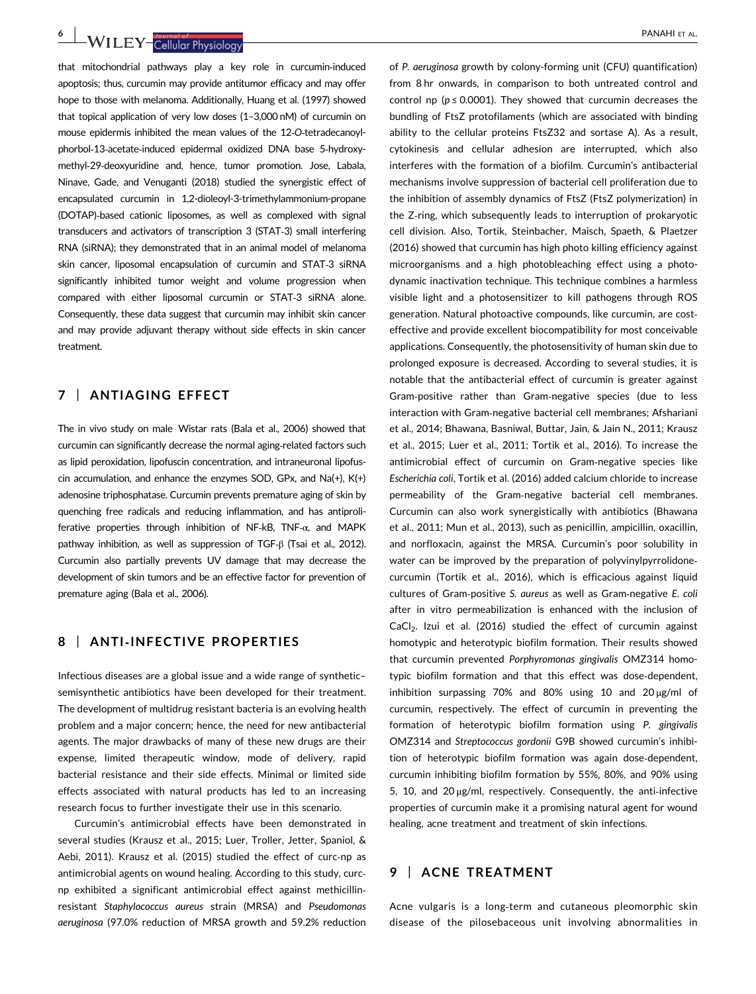6 | WII FY-Callular Physiology | PANAHI ET AL.

that mitochondrial pathways play a key role in curcumin‐induced apoptosis; thus, curcumin may provide antitumor efficacy and may offer hope to those with melanoma. Additionally, Huang et al. (1997) showed that topical application of very low doses (1–3,000 nM) of curcumin on mouse epidermis inhibited the mean values of the 12‐O‐tetradecanoylphorbol‐13‐acetate‐induced epidermal oxidized DNA base 5‐hydroxymethyl‐29‐deoxyuridine and, hence, tumor promotion. Jose, Labala, Ninave, Gade, and Venuganti (2018) studied the synergistic effect of encapsulated curcumin in 1,2-dioleoyl-3-trimethylammonium-propane (DOTAP)‐based cationic liposomes, as well as complexed with signal transducers and activators of transcription 3 (STAT‐3) small interfering RNA (siRNA); they demonstrated that in an animal model of melanoma skin cancer, liposomal encapsulation of curcumin and STAT‐3 siRNA significantly inhibited tumor weight and volume progression when compared with either liposomal curcumin or STAT‐3 siRNA alone. Consequently, these data suggest that curcumin may inhibit skin cancer and may provide adjuvant therapy without side effects in skin cancer treatment.

# 7 | ANTIAGING EFFECT

The in vivo study on male Wistar rats (Bala et al., 2006) showed that curcumin can significantly decrease the normal aging‐related factors such as lipid peroxidation, lipofuscin concentration, and intraneuronal lipofuscin accumulation, and enhance the enzymes SOD, GPx, and Na(+), K(+) adenosine triphosphatase. Curcumin prevents premature aging of skin by quenching free radicals and reducing inflammation, and has antiproliferative properties through inhibition of NF‐kB, TNF‐α, and MAPK pathway inhibition, as well as suppression of TGF‐β (Tsai et al., 2012). Curcumin also partially prevents UV damage that may decrease the development of skin tumors and be an effective factor for prevention of premature aging (Bala et al., 2006).

# 8 | ANTI-INFECTIVE PROPERTIES

Infectious diseases are a global issue and a wide range of synthetic– semisynthetic antibiotics have been developed for their treatment. The development of multidrug resistant bacteria is an evolving health problem and a major concern; hence, the need for new antibacterial agents. The major drawbacks of many of these new drugs are their expense, limited therapeutic window, mode of delivery, rapid bacterial resistance and their side effects. Minimal or limited side effects associated with natural products has led to an increasing research focus to further investigate their use in this scenario.

Curcumin's antimicrobial effects have been demonstrated in several studies (Krausz et al., 2015; Luer, Troller, Jetter, Spaniol, & Aebi, 2011). Krausz et al. (2015) studied the effect of curc‐np as antimicrobial agents on wound healing. According to this study, curc‐ np exhibited a significant antimicrobial effect against methicillin‐ resistant Staphylococcus aureus strain (MRSA) and Pseudomonas aeruginosa (97.0% reduction of MRSA growth and 59.2% reduction

of P. aeruginosa growth by colony-forming unit (CFU) quantification) from 8 hr onwards, in comparison to both untreated control and control np ( $p \le 0.0001$ ). They showed that curcumin decreases the bundling of FtsZ protofilaments (which are associated with binding ability to the cellular proteins FtsZ32 and sortase A). As a result, cytokinesis and cellular adhesion are interrupted, which also interferes with the formation of a biofilm. Curcumin's antibacterial mechanisms involve suppression of bacterial cell proliferation due to the inhibition of assembly dynamics of FtsZ (FtsZ polymerization) in the Z‐ring, which subsequently leads to interruption of prokaryotic cell division. Also, Tortik, Steinbacher, Maisch, Spaeth, & Plaetzer (2016) showed that curcumin has high photo killing efficiency against microorganisms and a high photobleaching effect using a photodynamic inactivation technique. This technique combines a harmless visible light and a photosensitizer to kill pathogens through ROS generation. Natural photoactive compounds, like curcumin, are cost‐ effective and provide excellent biocompatibility for most conceivable applications. Consequently, the photosensitivity of human skin due to prolonged exposure is decreased. According to several studies, it is notable that the antibacterial effect of curcumin is greater against Gram‐positive rather than Gram‐negative species (due to less interaction with Gram‐negative bacterial cell membranes; Afshariani et al., 2014; Bhawana, Basniwal, Buttar, Jain, & Jain N., 2011; Krausz et al., 2015; Luer et al., 2011; Tortik et al., 2016). To increase the antimicrobial effect of curcumin on Gram‐negative species like Escherichia coli, Tortik et al. (2016) added calcium chloride to increase permeability of the Gram-negative bacterial cell membranes. Curcumin can also work synergistically with antibiotics (Bhawana et al., 2011; Mun et al., 2013), such as penicillin, ampicillin, oxacillin, and norfloxacin, against the MRSA. Curcumin's poor solubility in water can be improved by the preparation of polyvinylpyrrolidone‐ curcumin (Tortik et al., 2016), which is efficacious against liquid cultures of Gram‐positive S. aureus as well as Gram‐negative E. coli after in vitro permeabilization is enhanced with the inclusion of CaCl<sub>2</sub>. Izui et al. (2016) studied the effect of curcumin against homotypic and heterotypic biofilm formation. Their results showed that curcumin prevented Porphyromonas gingivalis OMZ314 homotypic biofilm formation and that this effect was dose‐dependent, inhibition surpassing 70% and 80% using 10 and 20 μg/ml of curcumin, respectively. The effect of curcumin in preventing the formation of heterotypic biofilm formation using P. gingivalis OMZ314 and Streptococcus gordonii G9B showed curcumin's inhibition of heterotypic biofilm formation was again dose‐dependent, curcumin inhibiting biofilm formation by 55%, 80%, and 90% using 5, 10, and  $20 \mu g/ml$ , respectively. Consequently, the anti-infective properties of curcumin make it a promising natural agent for wound healing, acne treatment and treatment of skin infections.

#### 9 | ACNE TREATMENT

Acne vulgaris is a long‐term and cutaneous pleomorphic skin disease of the pilosebaceous unit involving abnormalities in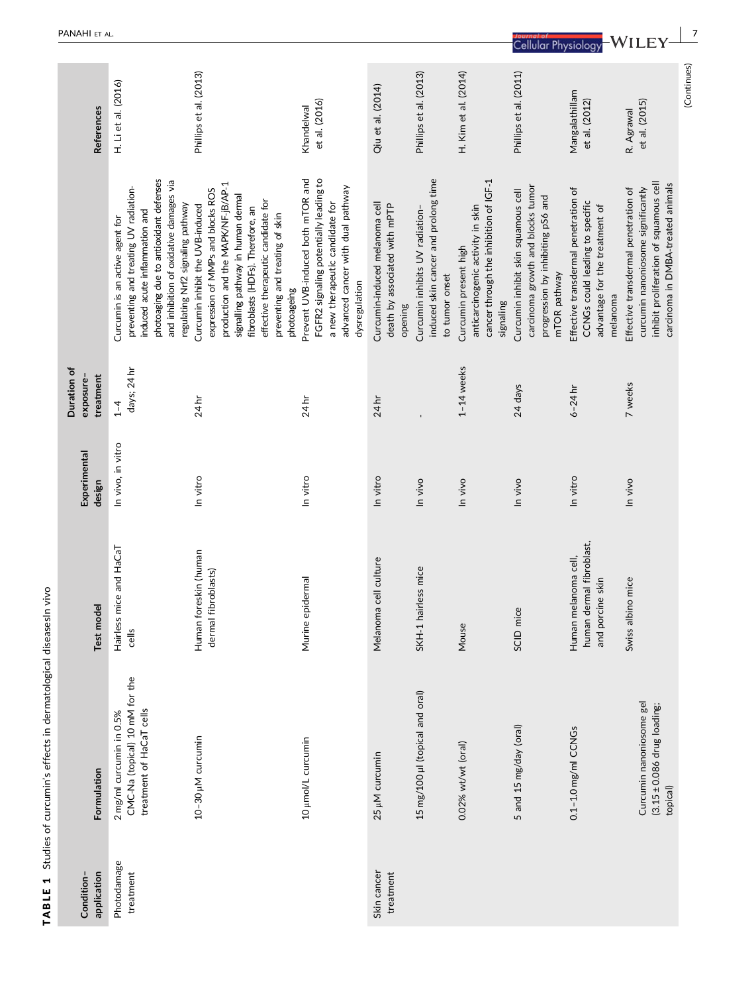| PANAHI ET AL.                         |                                                                                                                                                                                                                                      |                                                                                                                                                                                                                                                                                 |                                                                                                                                                                      |                                                                            |                                                                                           |                                                                                                                   | <b>Cellular Physiology</b>                                                                                                    |                                                                                                                       |                                                                                                                                                           |             |
|---------------------------------------|--------------------------------------------------------------------------------------------------------------------------------------------------------------------------------------------------------------------------------------|---------------------------------------------------------------------------------------------------------------------------------------------------------------------------------------------------------------------------------------------------------------------------------|----------------------------------------------------------------------------------------------------------------------------------------------------------------------|----------------------------------------------------------------------------|-------------------------------------------------------------------------------------------|-------------------------------------------------------------------------------------------------------------------|-------------------------------------------------------------------------------------------------------------------------------|-----------------------------------------------------------------------------------------------------------------------|-----------------------------------------------------------------------------------------------------------------------------------------------------------|-------------|
| <b>References</b>                     | H. Li et al. (2016)                                                                                                                                                                                                                  | Phillips et al. (2013)                                                                                                                                                                                                                                                          | et al. (2016)<br>Khandelwal                                                                                                                                          | Qiu et al. (2014)                                                          | Phillips et al. (2013)                                                                    | H. Kim et al. (2014)                                                                                              | Phillips et al. (2011)                                                                                                        | Mangalathillam<br>et al. (2012)                                                                                       | et al. (2015)<br>R. Agrawal                                                                                                                               | (Continues) |
|                                       | photoaging due to antioxidant defenses<br>and inhibition of oxidative damages via<br>preventing and treating UV radiation-<br>regulating Nrf2 signaling pathway<br>induced acute inflammation and<br>Curcumin is an active agent for | production and the MAPK/NF-jB/AP-1<br>expression of MMPs and blocks ROS<br>signalling pathway in human dermal<br>effective therapeutic candidate for<br>Curcumin inhibit the UVB-induced<br>fibroblasts (HDFs). Therefore, an<br>preventing and treating of skin<br>photoageing | FGFR2 signaling potentially leading to<br>Prevent UVB-induced both mTOR and<br>advanced cancer with dual pathway<br>a new therapeutic candidate for<br>dysregulation | Curcumin-induced melanoma cell<br>death by associated with mPTP<br>opening | induced skin cancer and prolong time<br>Curcumin inhibits UV radiation-<br>to tumor onset | cancer through the inhibition of IGF-1<br>anticarcinogenic activity in skin<br>Curcumin present high<br>signaling | carcinoma growth and blocks tumor<br>Curcumin inhibit skin squamous cell<br>progression by inhibiting pS6 and<br>mTOR pathway | Effective transdermal penetration of<br>CCNGs could leading to specific<br>advantage for the treatment of<br>melanoma | inhibit proliferation of squamous cell<br>carcinoma in DMBA-treated animals<br>curcumin nanoniosome significantly<br>Effective transdermal penetration of |             |
| Duration of<br>treatment<br>exposure- | days; 24 hr<br>$1 - 4$                                                                                                                                                                                                               | 24 hr                                                                                                                                                                                                                                                                           | 24 hr                                                                                                                                                                | 24 hr                                                                      |                                                                                           | $1-14$ weeks                                                                                                      | 24 days                                                                                                                       | $6 - 24$ hr                                                                                                           | 7 weeks                                                                                                                                                   |             |
| Experimental<br>design                | In vivo, in vitro                                                                                                                                                                                                                    | In vitro                                                                                                                                                                                                                                                                        | In vitro                                                                                                                                                             | In vitro                                                                   | In vivo                                                                                   | In vivo                                                                                                           | In vivo                                                                                                                       | In vitro                                                                                                              | ln vivo                                                                                                                                                   |             |
| Test model                            | Hairless mice and HaCaT<br>cells                                                                                                                                                                                                     | Human foreskin (human<br>dermal fibroblasts)                                                                                                                                                                                                                                    | Murine epidermal                                                                                                                                                     | Melanoma cell culture                                                      | SKH-1 hairless mice                                                                       | Mouse                                                                                                             | SCID mice                                                                                                                     | human dermal fibroblast,<br>Human melanoma cell,<br>skin<br>and porcine                                               | mice<br>Swiss albino                                                                                                                                      |             |
| Formulation                           | CMC-Na (topical) 10 mM for the<br>treatment of HaCaT cells<br>2 mg/ml curcumin in 0.5%                                                                                                                                               | 10-30 µM curcumin                                                                                                                                                                                                                                                               | 10 µmol/L curcumin                                                                                                                                                   | 25 µM curcumin                                                             | 15 mg/100 µl (topical and oral)                                                           | 0.02% wt/wt (oral)                                                                                                | 5 and 15 mg/day (oral)                                                                                                        | 0.1-1.0 mg/ml CCNGs                                                                                                   | Curcumin nanoniosome gel<br>$(3.15 \pm 0.086$ drug loading;<br>topical)                                                                                   |             |
| application<br>Condition-             | Photodamage<br>treatment                                                                                                                                                                                                             |                                                                                                                                                                                                                                                                                 |                                                                                                                                                                      | Skin cancer<br>treatment                                                   |                                                                                           |                                                                                                                   |                                                                                                                               |                                                                                                                       |                                                                                                                                                           |             |

TABLE 1 Studies of curcumin's effects in dermatological diseasesIn vivo

TABLE 1 Studies of curcumin's effects in dermatological diseasesIn vivo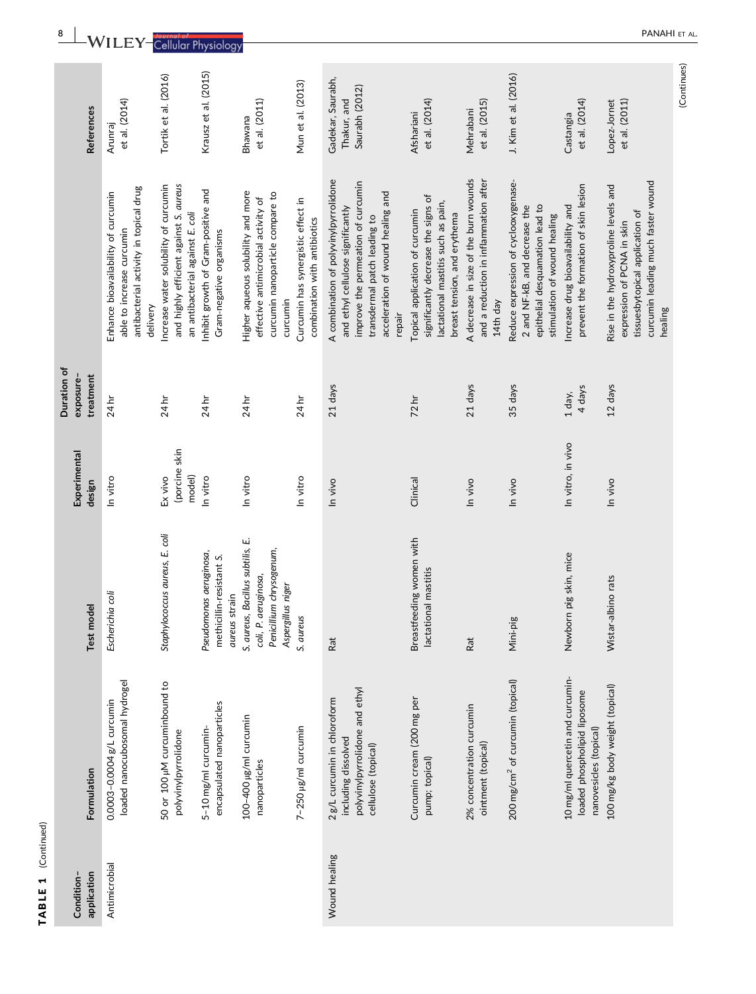| htir<br>ē,  |  |
|-------------|--|
| ш<br>y<br>ዳ |  |

| Condition-    |                                                                                                             |                                                                                                              | Experimental                       | Duration of<br>exposure- |                                                                                                                                                                                                 |                                                    |                       |
|---------------|-------------------------------------------------------------------------------------------------------------|--------------------------------------------------------------------------------------------------------------|------------------------------------|--------------------------|-------------------------------------------------------------------------------------------------------------------------------------------------------------------------------------------------|----------------------------------------------------|-----------------------|
| application   | Formulation                                                                                                 | Test model                                                                                                   | design                             | treatment                |                                                                                                                                                                                                 | References                                         |                       |
| Antimicrobial | loaded nanocubosomal hydrogel<br>0.0003-0.0004 g/L curcumin                                                 | Escherichia coli                                                                                             | In vitro                           | 24 hr                    | antibacterial activity in topical drug<br>Enhance bioavailability of curcumin<br>able to increase curcumin<br>delivery                                                                          | et al. (2014)<br>Arunraj                           |                       |
|               | 50 or 100 µM curcuminbound to<br>polyvinylpyrrolidone                                                       | Staphylococcus aureus, E. coli                                                                               | (porcine skin<br>Ex vivo<br>model) | 24 hr                    | Increase water solubility of curcumin<br>and highly efficient against S. aureus<br>an antibacterial against E. coli                                                                             | Tortik et al. (2016)                               | cellular i riyalology |
|               | encapsulated nanoparticles<br>5-10 mg/ml curcumin-                                                          | Pseudomonas aeruginosa,<br>methicillin-resistant S.<br>aureus strain                                         | In vitro                           | 24 hr                    | Inhibit growth of Gram-positive and<br>Gram-negative organisms                                                                                                                                  | Krausz et al. (2015)                               |                       |
|               | 100-400 µg/ml curcumin<br>nanoparticles                                                                     | S. aureus, Bacillus subtilis, E.<br>Penicillium chrysogenum,<br>aeruginosa,<br>Aspergillus niger<br>coli, P. | In vitro                           | 24 hr                    | Higher aqueous solubility and more<br>curcumin nanoparticle compare to<br>effective antimicrobial activity of<br>curcumin                                                                       | et al. (2011)<br>Bhawana                           |                       |
|               | 7-250 µg/ml curcumin                                                                                        | S. aureus                                                                                                    | In vitro                           | 24 hr                    | Curcumin has synergistic effect in<br>combination with antibiotics                                                                                                                              | Mun et al. (2013)                                  |                       |
| Wound healing | polyvinylpyrrolidone and ethyl<br>2g/L curcumin in chloroform<br>including dissolved<br>cellulose (topical) | Rat                                                                                                          | In vivo                            | 21 days                  | A combination of polyvinylpyrrolidone<br>improve the permeation of curcumin<br>acceleration of wound healing and<br>and ethyl cellulose significantly<br>transdermal patch leading to<br>repair | Gadekar, Saurabh,<br>Saurabh (2012)<br>Thakur, and |                       |
|               | Curcumin cream (200 mg per<br>pump; topical)                                                                | Breastfeeding women with<br>lactational mastitis                                                             | Clinical                           | 72 <sub>hr</sub>         | significantly decrease the signs of<br>lactational mastitis such as pain,<br>Topical application of curcumin<br>breast tension, and erythema                                                    | et al. (2014)<br>Afshariani                        |                       |
|               | 2% concentration curcumin<br>ointment (topical)                                                             | Rat                                                                                                          | In vivo                            | 21 days                  | A decrease in size of the burn wounds<br>and a reduction in inflammation after<br>14th day                                                                                                      | et al. (2015)<br>Mehrabani                         |                       |
|               | 200 mg/cm <sup>2</sup> of curcumin (topical)                                                                | Mini-pig                                                                                                     | In vivo                            | 35 days                  | Reduce expression of cyclooxygenase-<br>epithelial desquamation lead to<br>2 and NF-kB, and decrease the<br>stimulation of wound healing                                                        | J. Kim et al. (2016)                               |                       |
|               | 10 mg/ml quercetin and curcumin-<br>loaded phospholipid liposome<br>nanovesicles (topical)                  | Newborn pig skin, mice                                                                                       | In vitro, in vivo                  | 4 days<br>1 day,         | prevent the formation of skin lesion<br>ncrease drug bioavailability and                                                                                                                        | et al. (2014)<br>Castangia                         |                       |
|               | 100 mg/kg body weight (topical)                                                                             | Wistar-albino rats                                                                                           | In vivo                            | 12 days                  | curcumin leading much faster wound<br>Rise in the hydroxyproline levels and<br>tissuesbytopical application of<br>expression of PCNA in skin<br>healing                                         | et al. (2011)<br>Lopez-Jornet                      |                       |

(Continues)

(Continues)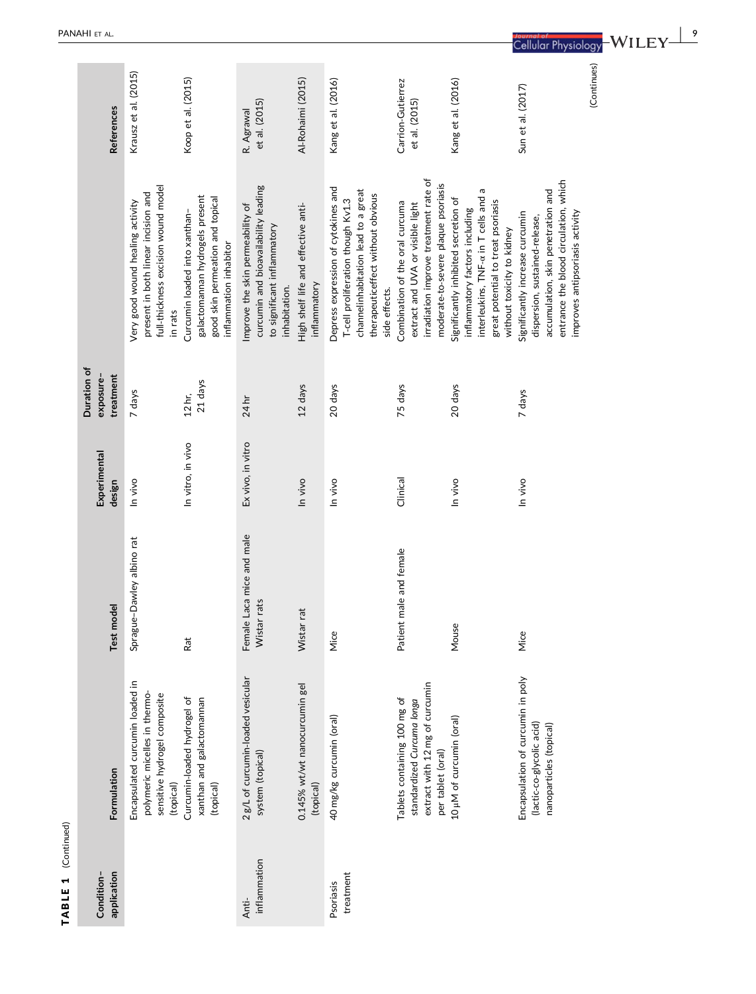|                          |                 | Krausz et al. (2015)                                                                                                      | Koop et al. (2015)                                                                                                             | et al. (2015)                                                                                                            | Al-Rohaimi (2015)                                   | Kang et al. (2016)                                                                                                                                                    | Carrion-Gutierrez<br>et al. (2015)                                                                                                                  | Kang et al. (2016)                                                                                                                                                                    | Sun et al. (2017)                                                                                                                                                                   | (Continues) |
|--------------------------|-----------------|---------------------------------------------------------------------------------------------------------------------------|--------------------------------------------------------------------------------------------------------------------------------|--------------------------------------------------------------------------------------------------------------------------|-----------------------------------------------------|-----------------------------------------------------------------------------------------------------------------------------------------------------------------------|-----------------------------------------------------------------------------------------------------------------------------------------------------|---------------------------------------------------------------------------------------------------------------------------------------------------------------------------------------|-------------------------------------------------------------------------------------------------------------------------------------------------------------------------------------|-------------|
|                          | References      |                                                                                                                           |                                                                                                                                | R. Agrawal                                                                                                               |                                                     |                                                                                                                                                                       |                                                                                                                                                     |                                                                                                                                                                                       |                                                                                                                                                                                     |             |
|                          |                 | full-thickness excision wound model<br>present in both linear incision and<br>Very good wound healing activity<br>in rats | galactomannan hydrogels present<br>good skin permeation and topical<br>Curcumin loaded into xanthan-<br>inflammation inhabitor | curcumin and bioavailability leading<br>Improve the skin permeability of<br>to significant inflammatory<br>inhabitation. | High shelf life and effective anti-<br>inflammatory | Depress expression of cytokines and<br>channelinhabitation lead to a great<br>therapeuticeffect without obvious<br>T-cell proliferation though Kv1.3<br>side effects. | irradiation improve treatment rate of<br>moderate-to-severe plaque psoriasis<br>Combination of the oral curcuma<br>extract and UVA or visible light | G<br>interleukins, TNF-a in T cells and<br>Significantly inhibited secretion of<br>great potential to treat psoriasis<br>inflammatory factors including<br>without toxicity to kidney | entrance the blood circulation, which<br>accumulation, skin penetration and<br>improves antipsoriasis activity<br>Significantly increase curcumin<br>dispersion, sustained-release, |             |
| Duration of<br>exposure- | treatment       | 7 days                                                                                                                    | 21 days<br>12 <sub>hr</sub>                                                                                                    | 24 hr                                                                                                                    | 12 days                                             | 20 days                                                                                                                                                               | 75 days                                                                                                                                             | 20 days                                                                                                                                                                               | 7 days                                                                                                                                                                              |             |
| Experimental             | design          | In vivo                                                                                                                   | In vitro, in vivo                                                                                                              | Ex vivo, in vitro                                                                                                        | In vivo                                             | In vivo                                                                                                                                                               | Clinical                                                                                                                                            | In vivo                                                                                                                                                                               | In vivo                                                                                                                                                                             |             |
|                          | model<br>Test r | Sprague-Dawley albino rat                                                                                                 | Rat                                                                                                                            | Female Laca mice and male<br>Wistar rats                                                                                 | Wistar rat                                          | Mice                                                                                                                                                                  | Patient male and female                                                                                                                             | Mouse                                                                                                                                                                                 | Mice                                                                                                                                                                                |             |
|                          | Formulation     | Encapsulated curcumin loaded in<br>polymeric micelles in thermo-<br>sensitive hydrogel composite<br>(topical)             | Curcumin-loaded hydrogel of<br>xanthan and galactomannan<br>(topical)                                                          | 2g/L of curcumin-loaded vesicular<br>system (topical)                                                                    | 0.145% wt/wt nanocurcumin gel<br>(topical)          | 40 mg/kg curcumin (oral)                                                                                                                                              | extract with 12 mg of curcumin<br>Tablets containing 100 mg of<br>standardized Curcuma longa<br>per tablet (oral)                                   | 10 µM of curcumin (oral)                                                                                                                                                              | Encapsulation of curcumin in poly<br>(lactic-co-glycolic acid)<br>nanoparticles (topical)                                                                                           |             |
| Condition-               | application     |                                                                                                                           |                                                                                                                                | inflammation<br>Anti-                                                                                                    |                                                     | treatment<br>Psoriasis                                                                                                                                                |                                                                                                                                                     |                                                                                                                                                                                       |                                                                                                                                                                                     |             |

TABLE 1 (Continued)

TABLE 1 (Continued)

| 9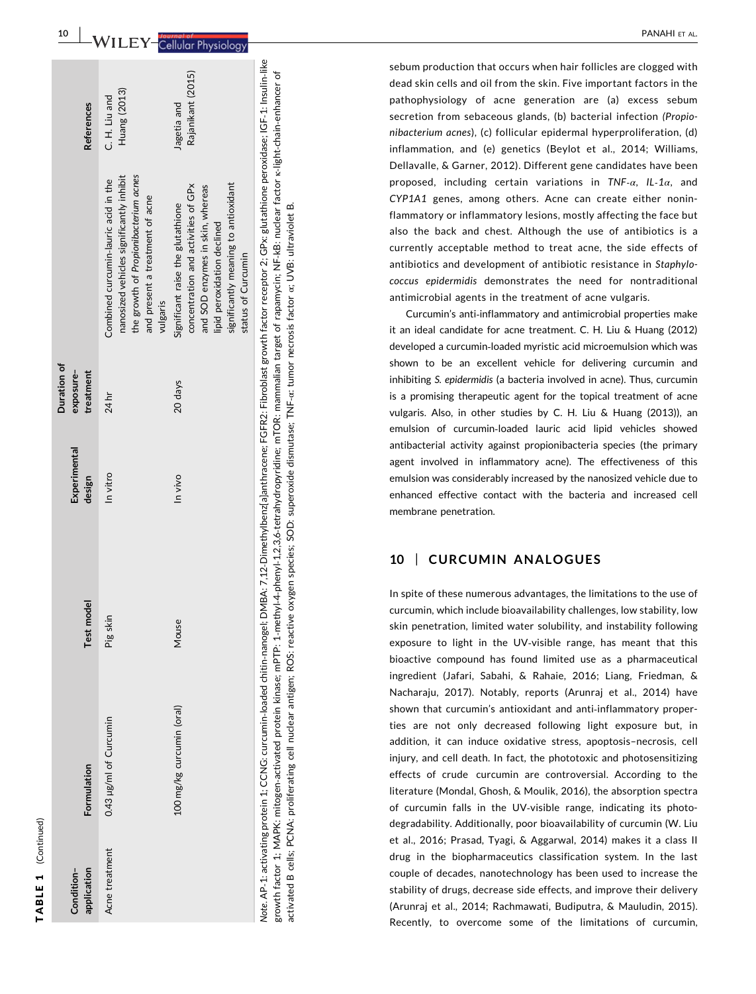| 0.43 µg/ml of Curcumin<br>Acne treatment |          | Experimental<br>design | exposure-<br>treatment |                                                                                                                                                                                                           | <b>References</b>                |
|------------------------------------------|----------|------------------------|------------------------|-----------------------------------------------------------------------------------------------------------------------------------------------------------------------------------------------------------|----------------------------------|
|                                          | Pig skin | In vitro               | 24 hr                  | the growth of Propionibacterium acnes<br>nanosized vehicles significantly inhibit<br>Combined curcumin-lauric acid in the<br>and present a treatment of acne<br>vulgaris                                  | Huang (2013)<br>C. H. Liu and    |
| 100 mg/kg curcumin (oral)                | Mouse    | In vivo                | 20 days                | significantly meaning to antioxidant<br>concentration and activities of GPx<br>and SOD enzymes in skin, whereas<br>Significant raise the glutathione<br>lipid peroxidation declined<br>status of Curcumin | Rajanikant (2015)<br>Jagetia and |

10

Note. AP‐1: activating protein 1; CCNG: curcumin-loaded chitin‐nanogel; DMBA: 7,12‐Dimethylbenz[a]anthracene; FGFR2: Fibroblast growth factor receptor 2; GPx: glutathione peroxidase; IGF‐1: Insulin‐like  $\mathbf{b}$ growth factor 1; MAPK: mitogen‐activated protein kinase; mPTP: 1‐methyl‐4‐phenyl‐1,2,3,6‐tetrahydropyridine; mTOR: mammalian target of rapamycin; NF‐kB: nuclear factor κ‐light‐chain‐enhancer of growth factor 1; MAPK: mitogen-activated protein kinase; mPTP: 1-methyl-4-phenyl-1.2,3,6-tetrahydropyridine; mTOR: mammalian target of rapamycin; NF-kB: nuclear factor k-light-chain-enhancer activated B cells; PCNA: proliferating cell nuclear antigen; ROS: reactive oxygen species; SOD: superoxide dismutase; TNF-cr. tumor necrosis factor or UVB: ultraviolet B. activated B cells; PCNA: proliferating cell nuclear antigen; ROS: reactive oxygen species; SOD: superoxide dismutase; TNF‐α: tumor necrosis factor α; UVB: ultraviolet B.

sebum production that occurs when hair follicles are clogged with dead skin cells and oil from the skin. Five important factors in the pathophysiology of acne generation are (a) excess sebum secretion from sebaceous glands, (b) bacterial infection (Propionibacterium acnes), (c) follicular epidermal hyperproliferation, (d) inflammation, and (e) genetics (Beylot et al., 2014; Williams, Dellavalle, & Garner, 2012). Different gene candidates have been proposed, including certain variations in  $TNF-\alpha$ , IL-1 $\alpha$ , and CYP1A1 genes, among others. Acne can create either noninflammatory or inflammatory lesions, mostly affecting the face but also the back and chest. Although the use of antibiotics is a currently acceptable method to treat acne, the side effects of antibiotics and development of antibiotic resistance in Staphylococcus epidermidis demonstrates the need for nontraditional antimicrobial agents in the treatment of acne vulgaris.

Curcumin 's anti ‐inflammatory and antimicrobial properties make it an ideal candidate for acne treatment. C. H. Liu & Huang (2012) developed a curcumin ‐loaded myristic acid microemulsion which was shown to be an excellent vehicle for delivering curcumin and inhibiting S. epidermidis (a bacteria involved in acne). Thus, curcumin is a promising therapeutic agent for the topical treatment of acne vulgaris. Also, in other studies by C. H. Liu & Huang (2013)), an emulsion of curcumin ‐loaded lauric acid lipid vehicles showed antibacterial activity against propionibacteria species (the primary agent involved in inflammatory acne). The effectiveness of this emulsion was considerably increased by the nanosized vehicle due to enhanced effective contact with the bacteria and increased cell membrane penetration.

#### 10 | CURCUMIN ANALOGUES

In spite of these numerous advantages, the limitations to the use of curcumin, which include bioavailability challenges, low stability, low skin penetration, limited water solubility, and instability following exposure to light in the UV ‐visible range, has meant that this bioactive compound has found limited use as a pharmaceutical ingredient (Jafari, Sabahi, & Rahaie, 2016; Liang, Friedman, & Nacharaju, 2017). Notably, reports (Arunraj et al., 2014) have shown that curcumin 's antioxidant and anti ‐inflammatory properties are not only decreased following light exposure but, in addition, it can induce oxidative stress, apoptosis –necrosis, cell injury, and cell death. In fact, the phototoxic and photosensitizing effects of crude curcumin are controversial. According to the literature (Mondal, Ghosh, & Moulik, 2016), the absorption spectra of curcumin falls in the UV ‐visible range, indicating its photodegradability. Additionally, poor bioavailability of curcumin (W. Liu et al., 2016; Prasad, Tyagi, & Aggarwal, 2014) makes it a class II drug in the biopharmaceutics classification system. In the last couple of decades, nanotechnology has been used to increase the stability of drugs, decrease side effects, and improve their delivery (Arunraj et al., 2014; Rachmawati, Budiputra, & Mauludin, 2015). Recently, to overcome some of the limitations of curcumin,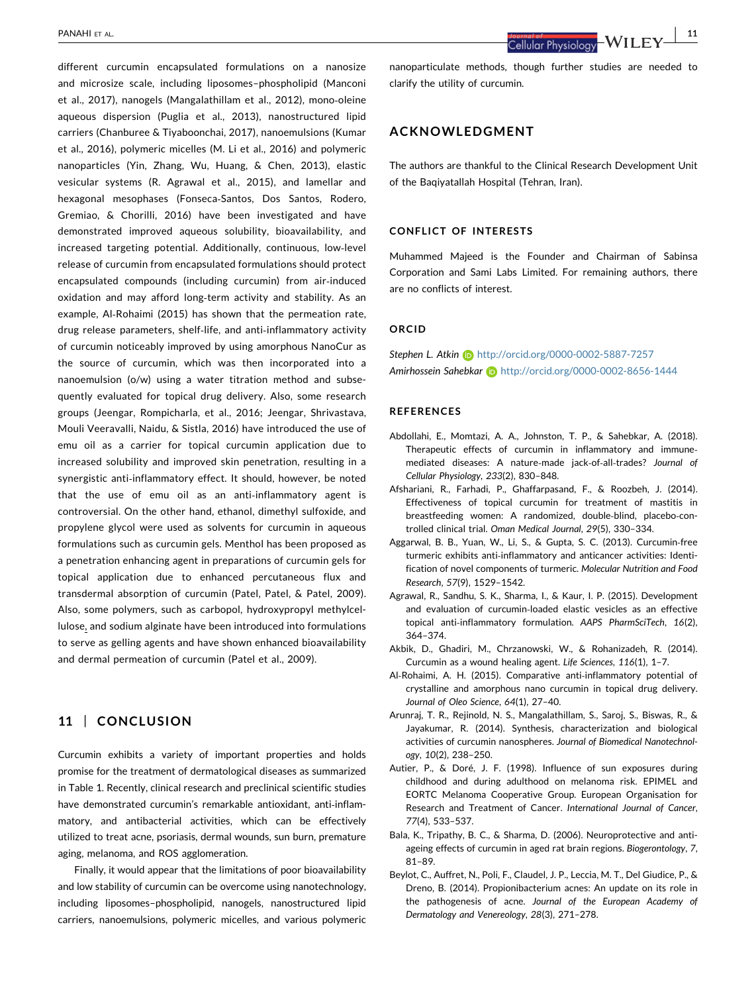different curcumin encapsulated formulations on a nanosize and microsize scale, including liposomes–phospholipid (Manconi et al., 2017), nanogels (Mangalathillam et al., 2012), mono‐oleine aqueous dispersion (Puglia et al., 2013), nanostructured lipid carriers (Chanburee & Tiyaboonchai, 2017), nanoemulsions (Kumar et al., 2016), polymeric micelles (M. Li et al., 2016) and polymeric nanoparticles (Yin, Zhang, Wu, Huang, & Chen, 2013), elastic vesicular systems (R. Agrawal et al., 2015), and lamellar and hexagonal mesophases (Fonseca‐Santos, Dos Santos, Rodero, Gremiao, & Chorilli, 2016) have been investigated and have demonstrated improved aqueous solubility, bioavailability, and increased targeting potential. Additionally, continuous, low‐level release of curcumin from encapsulated formulations should protect encapsulated compounds (including curcumin) from air‐induced oxidation and may afford long‐term activity and stability. As an example, Al‐Rohaimi (2015) has shown that the permeation rate, drug release parameters, shelf‐life, and anti‐inflammatory activity of curcumin noticeably improved by using amorphous NanoCur as the source of curcumin, which was then incorporated into a nanoemulsion (o/w) using a water titration method and subsequently evaluated for topical drug delivery. Also, some research groups (Jeengar, Rompicharla, et al., 2016; Jeengar, Shrivastava, Mouli Veeravalli, Naidu, & Sistla, 2016) have introduced the use of emu oil as a carrier for topical curcumin application due to increased solubility and improved skin penetration, resulting in a synergistic anti‐inflammatory effect. It should, however, be noted that the use of emu oil as an anti‐inflammatory agent is controversial. On the other hand, ethanol, dimethyl sulfoxide, and propylene glycol were used as solvents for curcumin in aqueous formulations such as curcumin gels. Menthol has been proposed as a penetration enhancing agent in preparations of curcumin gels for topical application due to enhanced percutaneous flux and transdermal absorption of curcumin (Patel, Patel, & Patel, 2009). Also, some polymers, such as carbopol, hydroxypropyl methylcellulose, and sodium alginate have been introduced into formulations to serve as gelling agents and have shown enhanced bioavailability and dermal permeation of curcumin (Patel et al., 2009).

# 11 | CONCLUSION

Curcumin exhibits a variety of important properties and holds promise for the treatment of dermatological diseases as summarized in Table 1. Recently, clinical research and preclinical scientific studies have demonstrated curcumin's remarkable antioxidant, anti-inflammatory, and antibacterial activities, which can be effectively utilized to treat acne, psoriasis, dermal wounds, sun burn, premature aging, melanoma, and ROS agglomeration.

Finally, it would appear that the limitations of poor bioavailability and low stability of curcumin can be overcome using nanotechnology, including liposomes–phospholipid, nanogels, nanostructured lipid carriers, nanoemulsions, polymeric micelles, and various polymeric

nanoparticulate methods, though further studies are needed to clarify the utility of curcumin.

#### ACKNOWLEDGMENT

The authors are thankful to the Clinical Research Development Unit of the Baqiyatallah Hospital (Tehran, Iran).

#### CONFLICT OF INTERESTS

Muhammed Majeed is the Founder and Chairman of Sabinsa Corporation and Sami Labs Limited. For remaining authors, there are no conflicts of interest.

#### ORCID

Stephen L. Atkin **b** <http://orcid.org/0000-0002-5887-7257> Amirhossein Sahebkar (b) <http://orcid.org/0000-0002-8656-1444>

#### REFERENCES

- Abdollahi, E., Momtazi, A. A., Johnston, T. P., & Sahebkar, A. (2018). Therapeutic effects of curcumin in inflammatory and immune‐ mediated diseases: A nature‐made jack‐of‐all‐trades? Journal of Cellular Physiology, 233(2), 830–848.
- Afshariani, R., Farhadi, P., Ghaffarpasand, F., & Roozbeh, J. (2014). Effectiveness of topical curcumin for treatment of mastitis in breastfeeding women: A randomized, double‐blind, placebo‐controlled clinical trial. Oman Medical Journal, 29(5), 330–334.
- Aggarwal, B. B., Yuan, W., Li, S., & Gupta, S. C. (2013). Curcumin‐free turmeric exhibits anti‐inflammatory and anticancer activities: Identification of novel components of turmeric. Molecular Nutrition and Food Research, 57(9), 1529–1542.
- Agrawal, R., Sandhu, S. K., Sharma, I., & Kaur, I. P. (2015). Development and evaluation of curcumin‐loaded elastic vesicles as an effective topical anti-inflammatory formulation. AAPS PharmSciTech, 16(2), 364–374.
- Akbik, D., Ghadiri, M., Chrzanowski, W., & Rohanizadeh, R. (2014). Curcumin as a wound healing agent. Life Sciences, 116(1), 1–7.
- Al‐Rohaimi, A. H. (2015). Comparative anti‐inflammatory potential of crystalline and amorphous nano curcumin in topical drug delivery. Journal of Oleo Science, 64(1), 27–40.
- Arunraj, T. R., Rejinold, N. S., Mangalathillam, S., Saroj, S., Biswas, R., & Jayakumar, R. (2014). Synthesis, characterization and biological activities of curcumin nanospheres. Journal of Biomedical Nanotechnology, 10(2), 238–250.
- Autier, P., & Doré, J. F. (1998). Influence of sun exposures during childhood and during adulthood on melanoma risk. EPIMEL and EORTC Melanoma Cooperative Group. European Organisation for Research and Treatment of Cancer. International Journal of Cancer, 77(4), 533–537.
- Bala, K., Tripathy, B. C., & Sharma, D. (2006). Neuroprotective and antiageing effects of curcumin in aged rat brain regions. Biogerontology, 7, 81–89.
- Beylot, C., Auffret, N., Poli, F., Claudel, J. P., Leccia, M. T., Del Giudice, P., & Dreno, B. (2014). Propionibacterium acnes: An update on its role in the pathogenesis of acne. Journal of the European Academy of Dermatology and Venereology, 28(3), 271–278.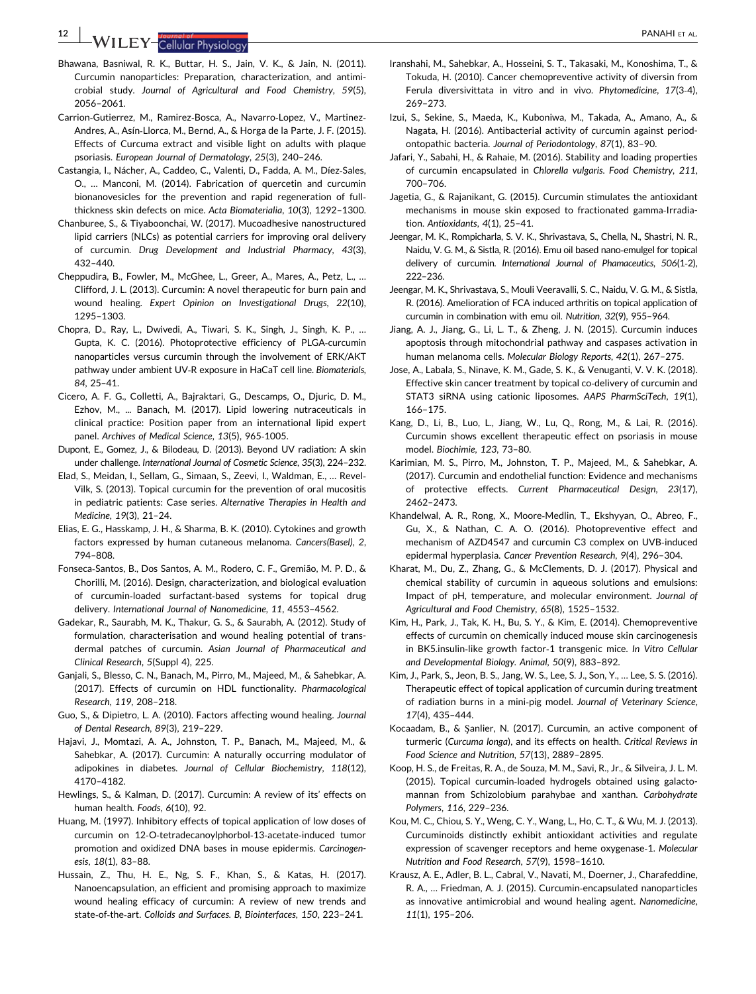**12** WILEY-Cellular Physiology **PANAHI ET AL.** 

- Bhawana, Basniwal, R. K., Buttar, H. S., Jain, V. K., & Jain, N. (2011). Curcumin nanoparticles: Preparation, characterization, and antimicrobial study. Journal of Agricultural and Food Chemistry, 59(5), 2056–2061.
- Carrion‐Gutierrez, M., Ramirez‐Bosca, A., Navarro‐Lopez, V., Martinez‐ Andres, A., Asín‐Llorca, M., Bernd, A., & Horga de la Parte, J. F. (2015). Effects of Curcuma extract and visible light on adults with plaque psoriasis. European Journal of Dermatology, 25(3), 240–246.
- Castangia, I., Nácher, A., Caddeo, C., Valenti, D., Fadda, A. M., Díez‐Sales, O., … Manconi, M. (2014). Fabrication of quercetin and curcumin bionanovesicles for the prevention and rapid regeneration of full‐ thickness skin defects on mice. Acta Biomaterialia, 10(3), 1292–1300.
- Chanburee, S., & Tiyaboonchai, W. (2017). Mucoadhesive nanostructured lipid carriers (NLCs) as potential carriers for improving oral delivery of curcumin. Drug Development and Industrial Pharmacy, 43(3), 432–440.
- Cheppudira, B., Fowler, M., McGhee, L., Greer, A., Mares, A., Petz, L., … Clifford, J. L. (2013). Curcumin: A novel therapeutic for burn pain and wound healing. Expert Opinion on Investigational Drugs, 22(10), 1295–1303.
- Chopra, D., Ray, L., Dwivedi, A., Tiwari, S. K., Singh, J., Singh, K. P., … Gupta, K. C. (2016). Photoprotective efficiency of PLGA‐curcumin nanoparticles versus curcumin through the involvement of ERK/AKT pathway under ambient UV‐R exposure in HaCaT cell line. Biomaterials, 84, 25–41.
- Cicero, A. F. G., Colletti, A., Bajraktari, G., Descamps, O., Djuric, D. M., Ezhov, M., ... Banach, M. (2017). Lipid lowering nutraceuticals in clinical practice: Position paper from an international lipid expert panel. Archives of Medical Science, 13(5), 965‐1005.
- Dupont, E., Gomez, J., & Bilodeau, D. (2013). Beyond UV radiation: A skin under challenge. International Journal of Cosmetic Science, 35(3), 224–232.
- Elad, S., Meidan, I., Sellam, G., Simaan, S., Zeevi, I., Waldman, E., … Revel‐ Vilk, S. (2013). Topical curcumin for the prevention of oral mucositis in pediatric patients: Case series. Alternative Therapies in Health and Medicine, 19(3), 21–24.
- Elias, E. G., Hasskamp, J. H., & Sharma, B. K. (2010). Cytokines and growth factors expressed by human cutaneous melanoma. Cancers(Basel), 2, 794–808.
- Fonseca‐Santos, B., Dos Santos, A. M., Rodero, C. F., Gremião, M. P. D., & Chorilli, M. (2016). Design, characterization, and biological evaluation of curcumin‐loaded surfactant‐based systems for topical drug delivery. International Journal of Nanomedicine, 11, 4553–4562.
- Gadekar, R., Saurabh, M. K., Thakur, G. S., & Saurabh, A. (2012). Study of formulation, characterisation and wound healing potential of transdermal patches of curcumin. Asian Journal of Pharmaceutical and Clinical Research, 5(Suppl 4), 225.
- Ganjali, S., Blesso, C. N., Banach, M., Pirro, M., Majeed, M., & Sahebkar, A. (2017). Effects of curcumin on HDL functionality. Pharmacological Research, 119, 208–218.
- Guo, S., & Dipietro, L. A. (2010). Factors affecting wound healing. Journal of Dental Research, 89(3), 219–229.
- Hajavi, J., Momtazi, A. A., Johnston, T. P., Banach, M., Majeed, M., & Sahebkar, A. (2017). Curcumin: A naturally occurring modulator of adipokines in diabetes. Journal of Cellular Biochemistry, 118(12), 4170–4182.
- Hewlings, S., & Kalman, D. (2017). Curcumin: A review of its' effects on human health. Foods, 6(10), 92.
- Huang, M. (1997). Inhibitory effects of topical application of low doses of curcumin on 12‐O‐tetradecanoylphorbol‐13‐acetate‐induced tumor promotion and oxidized DNA bases in mouse epidermis. Carcinogenesis, 18(1), 83–88.
- Hussain, Z., Thu, H. E., Ng, S. F., Khan, S., & Katas, H. (2017). Nanoencapsulation, an efficient and promising approach to maximize wound healing efficacy of curcumin: A review of new trends and state-of-the-art. Colloids and Surfaces. B, Biointerfaces, 150, 223-241.
- Iranshahi, M., Sahebkar, A., Hosseini, S. T., Takasaki, M., Konoshima, T., & Tokuda, H. (2010). Cancer chemopreventive activity of diversin from Ferula diversivittata in vitro and in vivo. Phytomedicine, 17(3‐4), 269–273.
- Izui, S., Sekine, S., Maeda, K., Kuboniwa, M., Takada, A., Amano, A., & Nagata, H. (2016). Antibacterial activity of curcumin against periodontopathic bacteria. Journal of Periodontology, 87(1), 83–90.
- Jafari, Y., Sabahi, H., & Rahaie, M. (2016). Stability and loading properties of curcumin encapsulated in Chlorella vulgaris. Food Chemistry, 211, 700–706.
- Jagetia, G., & Rajanikant, G. (2015). Curcumin stimulates the antioxidant mechanisms in mouse skin exposed to fractionated gamma‐Irradiation. Antioxidants, 4(1), 25–41.
- Jeengar, M. K., Rompicharla, S. V. K., Shrivastava, S., Chella, N., Shastri, N. R., Naidu, V. G. M., & Sistla, R. (2016). Emu oil based nano‐emulgel for topical delivery of curcumin. International Journal of Phamaceutics, 506(1‐2), 222–236.
- Jeengar, M. K., Shrivastava, S., Mouli Veeravalli, S. C., Naidu, V. G. M., & Sistla, R. (2016). Amelioration of FCA induced arthritis on topical application of curcumin in combination with emu oil. Nutrition, 32(9), 955–964.
- Jiang, A. J., Jiang, G., Li, L. T., & Zheng, J. N. (2015). Curcumin induces apoptosis through mitochondrial pathway and caspases activation in human melanoma cells. Molecular Biology Reports, 42(1), 267–275.
- Jose, A., Labala, S., Ninave, K. M., Gade, S. K., & Venuganti, V. V. K. (2018). Effective skin cancer treatment by topical co‐delivery of curcumin and STAT3 siRNA using cationic liposomes. AAPS PharmSciTech, 19(1), 166–175.
- Kang, D., Li, B., Luo, L., Jiang, W., Lu, Q., Rong, M., & Lai, R. (2016). Curcumin shows excellent therapeutic effect on psoriasis in mouse model. Biochimie, 123, 73–80.
- Karimian, M. S., Pirro, M., Johnston, T. P., Majeed, M., & Sahebkar, A. (2017). Curcumin and endothelial function: Evidence and mechanisms of protective effects. Current Pharmaceutical Design, 23(17), 2462–2473.
- Khandelwal, A. R., Rong, X., Moore‐Medlin, T., Ekshyyan, O., Abreo, F., Gu, X., & Nathan, C. A. O. (2016). Photopreventive effect and mechanism of AZD4547 and curcumin C3 complex on UVB‐induced epidermal hyperplasia. Cancer Prevention Research, 9(4), 296–304.
- Kharat, M., Du, Z., Zhang, G., & McClements, D. J. (2017). Physical and chemical stability of curcumin in aqueous solutions and emulsions: Impact of pH, temperature, and molecular environment. Journal of Agricultural and Food Chemistry, 65(8), 1525–1532.
- Kim, H., Park, J., Tak, K. H., Bu, S. Y., & Kim, E. (2014). Chemopreventive effects of curcumin on chemically induced mouse skin carcinogenesis in BK5.insulin‐like growth factor‐1 transgenic mice. In Vitro Cellular and Developmental Biology. Animal, 50(9), 883–892.
- Kim, J., Park, S., Jeon, B. S., Jang, W. S., Lee, S. J., Son, Y., … Lee, S. S. (2016). Therapeutic effect of topical application of curcumin during treatment of radiation burns in a mini‐pig model. Journal of Veterinary Science, 17(4), 435–444.
- Kocaadam, B., & Şanlier, N. (2017). Curcumin, an active component of turmeric (Curcuma longa), and its effects on health. Critical Reviews in Food Science and Nutrition, 57(13), 2889–2895.
- Koop, H. S., de Freitas, R. A., de Souza, M. M., Savi, R., Jr., & Silveira, J. L. M. (2015). Topical curcumin‐loaded hydrogels obtained using galactomannan from Schizolobium parahybae and xanthan. Carbohydrate Polymers, 116, 229–236.
- Kou, M. C., Chiou, S. Y., Weng, C. Y., Wang, L., Ho, C. T., & Wu, M. J. (2013). Curcuminoids distinctly exhibit antioxidant activities and regulate expression of scavenger receptors and heme oxygenase‐1. Molecular Nutrition and Food Research, 57(9), 1598–1610.
- Krausz, A. E., Adler, B. L., Cabral, V., Navati, M., Doerner, J., Charafeddine, R. A., … Friedman, A. J. (2015). Curcumin‐encapsulated nanoparticles as innovative antimicrobial and wound healing agent. Nanomedicine, 11(1), 195–206.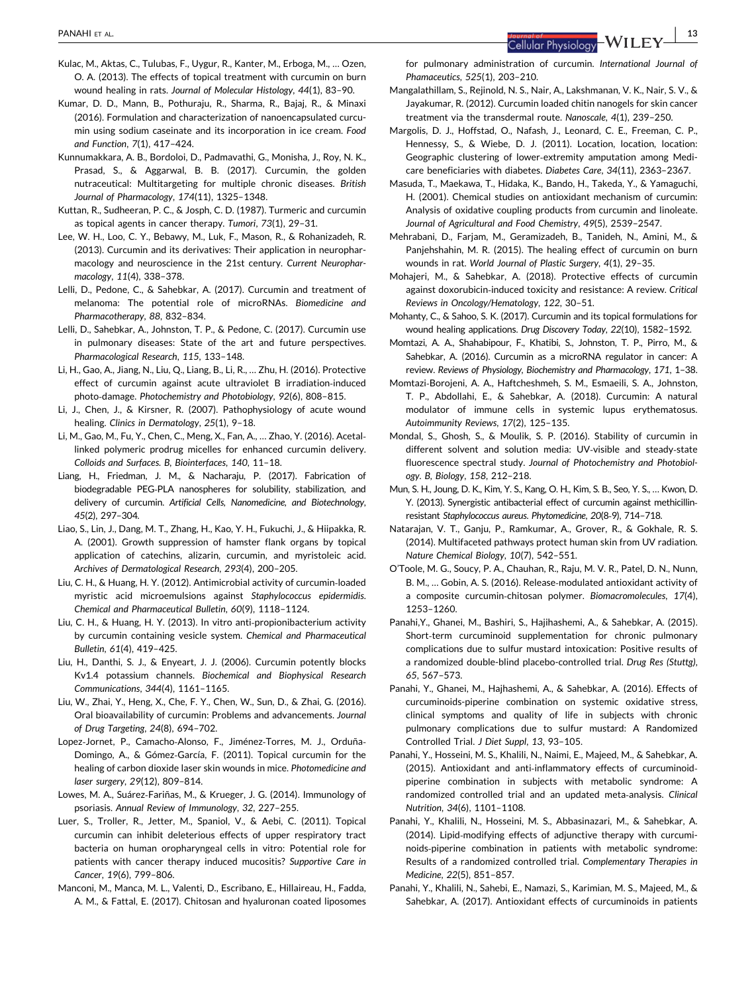- Kulac, M., Aktas, C., Tulubas, F., Uygur, R., Kanter, M., Erboga, M., … Ozen, O. A. (2013). The effects of topical treatment with curcumin on burn wound healing in rats. Journal of Molecular Histology, 44(1), 83–90.
- Kumar, D. D., Mann, B., Pothuraju, R., Sharma, R., Bajaj, R., & Minaxi (2016). Formulation and characterization of nanoencapsulated curcumin using sodium caseinate and its incorporation in ice cream. Food and Function, 7(1), 417–424.
- Kunnumakkara, A. B., Bordoloi, D., Padmavathi, G., Monisha, J., Roy, N. K., Prasad, S., & Aggarwal, B. B. (2017). Curcumin, the golden nutraceutical: Multitargeting for multiple chronic diseases. British Journal of Pharmacology, 174(11), 1325–1348.
- Kuttan, R., Sudheeran, P. C., & Josph, C. D. (1987). Turmeric and curcumin as topical agents in cancer therapy. Tumori, 73(1), 29–31.
- Lee, W. H., Loo, C. Y., Bebawy, M., Luk, F., Mason, R., & Rohanizadeh, R. (2013). Curcumin and its derivatives: Their application in neuropharmacology and neuroscience in the 21st century. Current Neuropharmacology, 11(4), 338–378.
- Lelli, D., Pedone, C., & Sahebkar, A. (2017). Curcumin and treatment of melanoma: The potential role of microRNAs. Biomedicine and Pharmacotherapy, 88, 832–834.
- Lelli, D., Sahebkar, A., Johnston, T. P., & Pedone, C. (2017). Curcumin use in pulmonary diseases: State of the art and future perspectives. Pharmacological Research, 115, 133–148.
- Li, H., Gao, A., Jiang, N., Liu, Q., Liang, B., Li, R., … Zhu, H. (2016). Protective effect of curcumin against acute ultraviolet B irradiation‐induced photo‐damage. Photochemistry and Photobiology, 92(6), 808–815.
- Li, J., Chen, J., & Kirsner, R. (2007). Pathophysiology of acute wound healing. Clinics in Dermatology, 25(1), 9–18.
- Li, M., Gao, M., Fu, Y., Chen, C., Meng, X., Fan, A., … Zhao, Y. (2016). Acetal‐ linked polymeric prodrug micelles for enhanced curcumin delivery. Colloids and Surfaces. B, Biointerfaces, 140, 11–18.
- Liang, H., Friedman, J. M., & Nacharaju, P. (2017). Fabrication of biodegradable PEG‐PLA nanospheres for solubility, stabilization, and delivery of curcumin. Artificial Cells, Nanomedicine, and Biotechnology, 45(2), 297–304.
- Liao, S., Lin, J., Dang, M. T., Zhang, H., Kao, Y. H., Fukuchi, J., & Hiipakka, R. A. (2001). Growth suppression of hamster flank organs by topical application of catechins, alizarin, curcumin, and myristoleic acid. Archives of Dermatological Research, 293(4), 200–205.
- Liu, C. H., & Huang, H. Y. (2012). Antimicrobial activity of curcumin‐loaded myristic acid microemulsions against Staphylococcus epidermidis. Chemical and Pharmaceutical Bulletin, 60(9), 1118–1124.
- Liu, C. H., & Huang, H. Y. (2013). In vitro anti‐propionibacterium activity by curcumin containing vesicle system. Chemical and Pharmaceutical Bulletin, 61(4), 419–425.
- Liu, H., Danthi, S. J., & Enyeart, J. J. (2006). Curcumin potently blocks Kv1.4 potassium channels. Biochemical and Biophysical Research Communications, 344(4), 1161–1165.
- Liu, W., Zhai, Y., Heng, X., Che, F. Y., Chen, W., Sun, D., & Zhai, G. (2016). Oral bioavailability of curcumin: Problems and advancements. Journal of Drug Targeting, 24(8), 694–702.
- Lopez‐Jornet, P., Camacho‐Alonso, F., Jiménez‐Torres, M. J., Orduña‐ Domingo, A., & Gómez‐García, F. (2011). Topical curcumin for the healing of carbon dioxide laser skin wounds in mice. Photomedicine and laser surgery, 29(12), 809–814.
- Lowes, M. A., Suárez‐Fariñas, M., & Krueger, J. G. (2014). Immunology of psoriasis. Annual Review of Immunology, 32, 227–255.
- Luer, S., Troller, R., Jetter, M., Spaniol, V., & Aebi, C. (2011). Topical curcumin can inhibit deleterious effects of upper respiratory tract bacteria on human oropharyngeal cells in vitro: Potential role for patients with cancer therapy induced mucositis? Supportive Care in Cancer, 19(6), 799–806.
- Manconi, M., Manca, M. L., Valenti, D., Escribano, E., Hillaireau, H., Fadda, A. M., & Fattal, E. (2017). Chitosan and hyaluronan coated liposomes

for pulmonary administration of curcumin. International Journal of Phamaceutics, 525(1), 203–210.

- Mangalathillam, S., Rejinold, N. S., Nair, A., Lakshmanan, V. K., Nair, S. V., & Jayakumar, R. (2012). Curcumin loaded chitin nanogels for skin cancer treatment via the transdermal route. Nanoscale, 4(1), 239–250.
- Margolis, D. J., Hoffstad, O., Nafash, J., Leonard, C. E., Freeman, C. P., Hennessy, S., & Wiebe, D. J. (2011). Location, location, location: Geographic clustering of lower‐extremity amputation among Medicare beneficiaries with diabetes. Diabetes Care, 34(11), 2363–2367.
- Masuda, T., Maekawa, T., Hidaka, K., Bando, H., Takeda, Y., & Yamaguchi, H. (2001). Chemical studies on antioxidant mechanism of curcumin: Analysis of oxidative coupling products from curcumin and linoleate. Journal of Agricultural and Food Chemistry, 49(5), 2539–2547.
- Mehrabani, D., Farjam, M., Geramizadeh, B., Tanideh, N., Amini, M., & Panjehshahin, M. R. (2015). The healing effect of curcumin on burn wounds in rat. World Journal of Plastic Surgery, 4(1), 29–35.
- Mohajeri, M., & Sahebkar, A. (2018). Protective effects of curcumin against doxorubicin‐induced toxicity and resistance: A review. Critical Reviews in Oncology/Hematology, 122, 30–51.
- Mohanty, C., & Sahoo, S. K. (2017). Curcumin and its topical formulations for wound healing applications. Drug Discovery Today, 22(10), 1582–1592.
- Momtazi, A. A., Shahabipour, F., Khatibi, S., Johnston, T. P., Pirro, M., & Sahebkar, A. (2016). Curcumin as a microRNA regulator in cancer: A review. Reviews of Physiology, Biochemistry and Pharmacology, 171, 1–38.
- Momtazi‐Borojeni, A. A., Haftcheshmeh, S. M., Esmaeili, S. A., Johnston, T. P., Abdollahi, E., & Sahebkar, A. (2018). Curcumin: A natural modulator of immune cells in systemic lupus erythematosus. Autoimmunity Reviews, 17(2), 125–135.
- Mondal, S., Ghosh, S., & Moulik, S. P. (2016). Stability of curcumin in different solvent and solution media: UV‐visible and steady‐state fluorescence spectral study. Journal of Photochemistry and Photobiology. B, Biology, 158, 212–218.
- Mun, S. H., Joung, D. K., Kim, Y. S., Kang, O. H., Kim, S. B., Seo, Y. S., … Kwon, D. Y. (2013). Synergistic antibacterial effect of curcumin against methicillin‐ resistant Staphylococcus aureus. Phytomedicine, 20(8‐9), 714–718.
- Natarajan, V. T., Ganju, P., Ramkumar, A., Grover, R., & Gokhale, R. S. (2014). Multifaceted pathways protect human skin from UV radiation. Nature Chemical Biology, 10(7), 542–551.
- O'Toole, M. G., Soucy, P. A., Chauhan, R., Raju, M. V. R., Patel, D. N., Nunn, B. M., … Gobin, A. S. (2016). Release‐modulated antioxidant activity of a composite curcumin‐chitosan polymer. Biomacromolecules, 17(4), 1253–1260.
- Panahi,Y., Ghanei, M., Bashiri, S., Hajihashemi, A., & Sahebkar, A. (2015). Short-term curcuminoid supplementation for chronic pulmonary complications due to sulfur mustard intoxication: Positive results of a randomized double-blind placebo-controlled trial. Drug Res (Stuttg), 65, 567–573.
- Panahi, Y., Ghanei, M., Hajhashemi, A., & Sahebkar, A. (2016). Effects of curcuminoids-piperine combination on systemic oxidative stress, clinical symptoms and quality of life in subjects with chronic pulmonary complications due to sulfur mustard: A Randomized Controlled Trial. J Diet Suppl, 13, 93–105.
- Panahi, Y., Hosseini, M. S., Khalili, N., Naimi, E., Majeed, M., & Sahebkar, A. (2015). Antioxidant and anti‐inflammatory effects of curcuminoid‐ piperine combination in subjects with metabolic syndrome: A randomized controlled trial and an updated meta‐analysis. Clinical Nutrition, 34(6), 1101–1108.
- Panahi, Y., Khalili, N., Hosseini, M. S., Abbasinazari, M., & Sahebkar, A. (2014). Lipid‐modifying effects of adjunctive therapy with curcuminoids‐piperine combination in patients with metabolic syndrome: Results of a randomized controlled trial. Complementary Therapies in Medicine, 22(5), 851–857.
- Panahi, Y., Khalili, N., Sahebi, E., Namazi, S., Karimian, M. S., Majeed, M., & Sahebkar, A. (2017). Antioxidant effects of curcuminoids in patients